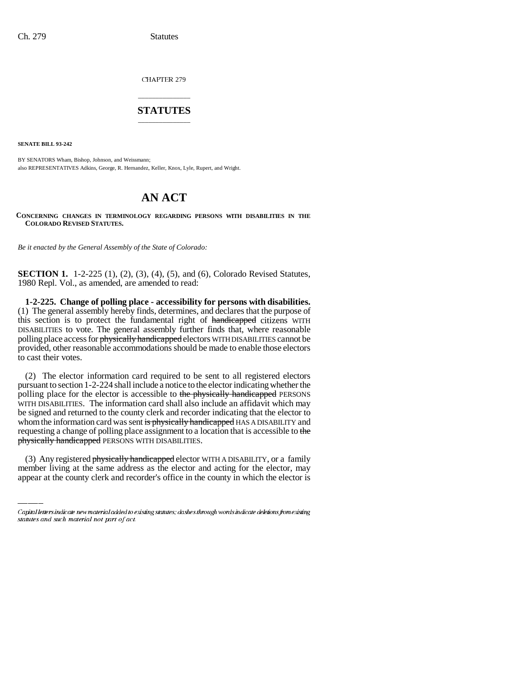CHAPTER 279

## \_\_\_\_\_\_\_\_\_\_\_\_\_\_\_ **STATUTES** \_\_\_\_\_\_\_\_\_\_\_\_\_\_\_

**SENATE BILL 93-242**

BY SENATORS Wham, Bishop, Johnson, and Weissmann; also REPRESENTATIVES Adkins, George, R. Hernandez, Keller, Knox, Lyle, Rupert, and Wright.

# **AN ACT**

**CONCERNING CHANGES IN TERMINOLOGY REGARDING PERSONS WITH DISABILITIES IN THE COLORADO REVISED STATUTES.**

*Be it enacted by the General Assembly of the State of Colorado:*

**SECTION 1.** 1-2-225 (1), (2), (3), (4), (5), and (6), Colorado Revised Statutes, 1980 Repl. Vol., as amended, are amended to read:

**1-2-225. Change of polling place - accessibility for persons with disabilities.** (1) The general assembly hereby finds, determines, and declares that the purpose of this section is to protect the fundamental right of handicapped citizens WITH DISABILITIES to vote. The general assembly further finds that, where reasonable polling place access for physically handicapped electors WITH DISABILITIES cannot be provided, other reasonable accommodations should be made to enable those electors to cast their votes.

physically handicapped PERSONS WITH DISABILITIES. (2) The elector information card required to be sent to all registered electors pursuant to section 1-2-224 shall include a notice to the elector indicating whether the polling place for the elector is accessible to the physically handicapped PERSONS WITH DISABILITIES. The information card shall also include an affidavit which may be signed and returned to the county clerk and recorder indicating that the elector to whom the information card was sent is physically handicapped HAS A DISABILITY and requesting a change of polling place assignment to a location that is accessible to the

(3) Any registered physically handicapped elector WITH A DISABILITY, or a family member living at the same address as the elector and acting for the elector, may appear at the county clerk and recorder's office in the county in which the elector is

Capital letters indicate new material added to existing statutes; dashes through words indicate deletions from existing statutes and such material not part of act.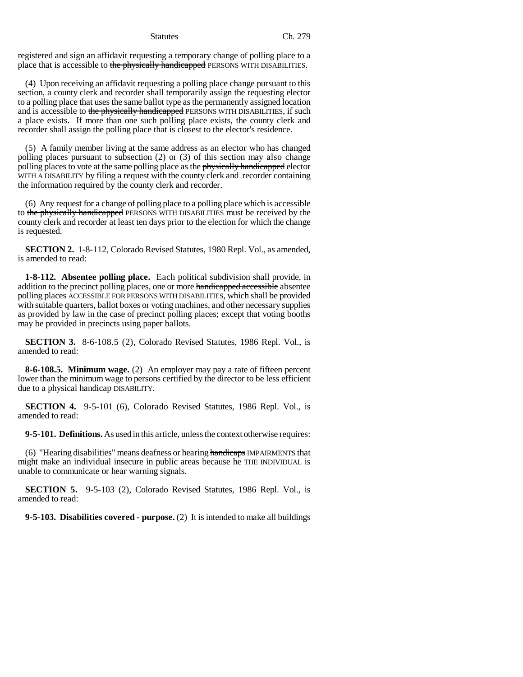registered and sign an affidavit requesting a temporary change of polling place to a place that is accessible to the physically handicapped PERSONS WITH DISABILITIES.

(4) Upon receiving an affidavit requesting a polling place change pursuant to this section, a county clerk and recorder shall temporarily assign the requesting elector to a polling place that uses the same ballot type as the permanently assigned location and is accessible to the physically handicapped PERSONS WITH DISABILITIES, if such a place exists. If more than one such polling place exists, the county clerk and recorder shall assign the polling place that is closest to the elector's residence.

(5) A family member living at the same address as an elector who has changed polling places pursuant to subsection (2) or (3) of this section may also change polling places to vote at the same polling place as the physically handicapped elector WITH A DISABILITY by filing a request with the county clerk and recorder containing the information required by the county clerk and recorder.

(6) Any request for a change of polling place to a polling place which is accessible to the physically handicapped PERSONS WITH DISABILITIES must be received by the county clerk and recorder at least ten days prior to the election for which the change is requested.

**SECTION 2.** 1-8-112, Colorado Revised Statutes, 1980 Repl. Vol., as amended, is amended to read:

**1-8-112. Absentee polling place.** Each political subdivision shall provide, in addition to the precinct polling places, one or more handicapped accessible absentee polling places ACCESSIBLE FOR PERSONS WITH DISABILITIES, which shall be provided with suitable quarters, ballot boxes or voting machines, and other necessary supplies as provided by law in the case of precinct polling places; except that voting booths may be provided in precincts using paper ballots.

**SECTION 3.** 8-6-108.5 (2), Colorado Revised Statutes, 1986 Repl. Vol., is amended to read:

**8-6-108.5. Minimum wage.** (2) An employer may pay a rate of fifteen percent lower than the minimum wage to persons certified by the director to be less efficient due to a physical handicap DISABILITY.

**SECTION 4.** 9-5-101 (6), Colorado Revised Statutes, 1986 Repl. Vol., is amended to read:

**9-5-101. Definitions.** As used in this article, unless the context otherwise requires:

 $(6)$  "Hearing disabilities" means deafness or hearing handicaps IMPAIRMENTS that might make an individual insecure in public areas because he THE INDIVIDUAL is unable to communicate or hear warning signals.

**SECTION 5.** 9-5-103 (2), Colorado Revised Statutes, 1986 Repl. Vol., is amended to read:

**9-5-103. Disabilities covered - purpose.** (2) It is intended to make all buildings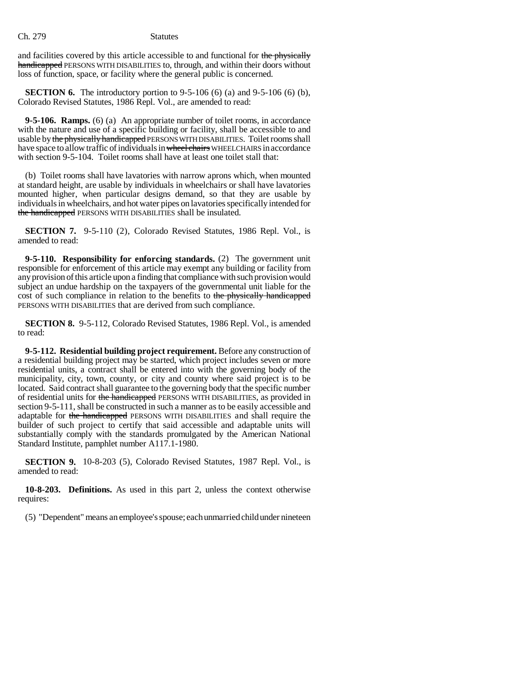and facilities covered by this article accessible to and functional for the physically handicapped PERSONS WITH DISABILITIES to, through, and within their doors without loss of function, space, or facility where the general public is concerned.

**SECTION 6.** The introductory portion to 9-5-106 (6) (a) and 9-5-106 (6) (b), Colorado Revised Statutes, 1986 Repl. Vol., are amended to read:

**9-5-106. Ramps.** (6) (a) An appropriate number of toilet rooms, in accordance with the nature and use of a specific building or facility, shall be accessible to and usable by the physically handicapped PERSONS WITH DISABILITIES. Toilet rooms shall have space to allow traffic of individuals in wheel chairs WHEELCHAIRS in accordance with section 9-5-104. Toilet rooms shall have at least one toilet stall that:

(b) Toilet rooms shall have lavatories with narrow aprons which, when mounted at standard height, are usable by individuals in wheelchairs or shall have lavatories mounted higher, when particular designs demand, so that they are usable by individuals in wheelchairs, and hot water pipes on lavatories specifically intended for the handicapped PERSONS WITH DISABILITIES shall be insulated.

**SECTION 7.** 9-5-110 (2), Colorado Revised Statutes, 1986 Repl. Vol., is amended to read:

**9-5-110. Responsibility for enforcing standards.** (2) The government unit responsible for enforcement of this article may exempt any building or facility from any provision of this article upon a finding that compliance with such provision would subject an undue hardship on the taxpayers of the governmental unit liable for the cost of such compliance in relation to the benefits to the physically handicapped PERSONS WITH DISABILITIES that are derived from such compliance.

**SECTION 8.** 9-5-112, Colorado Revised Statutes, 1986 Repl. Vol., is amended to read:

**9-5-112. Residential building project requirement.** Before any construction of a residential building project may be started, which project includes seven or more residential units, a contract shall be entered into with the governing body of the municipality, city, town, county, or city and county where said project is to be located. Said contract shall guarantee to the governing body that the specific number of residential units for the handicapped PERSONS WITH DISABILITIES, as provided in section 9-5-111, shall be constructed in such a manner as to be easily accessible and adaptable for the handicapped PERSONS WITH DISABILITIES and shall require the builder of such project to certify that said accessible and adaptable units will substantially comply with the standards promulgated by the American National Standard Institute, pamphlet number A117.1-1980.

**SECTION 9.** 10-8-203 (5), Colorado Revised Statutes, 1987 Repl. Vol., is amended to read:

**10-8-203. Definitions.** As used in this part 2, unless the context otherwise requires:

(5) "Dependent" means an employee's spouse; each unmarried child under nineteen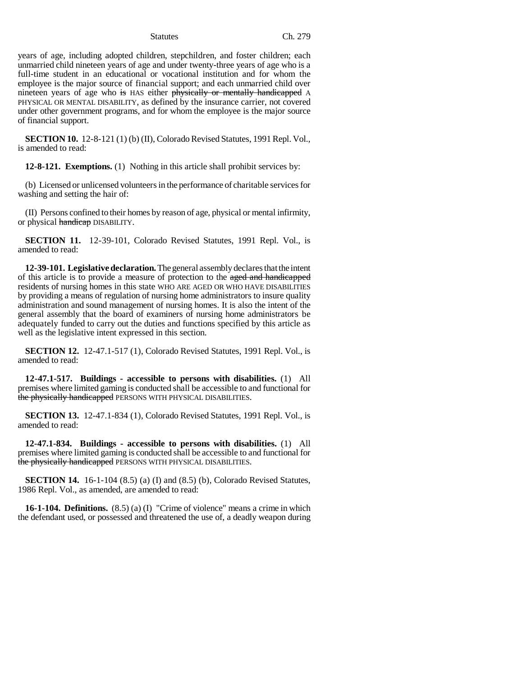years of age, including adopted children, stepchildren, and foster children; each unmarried child nineteen years of age and under twenty-three years of age who is a full-time student in an educational or vocational institution and for whom the employee is the major source of financial support; and each unmarried child over nineteen years of age who is HAS either physically or mentally handicapped A PHYSICAL OR MENTAL DISABILITY, as defined by the insurance carrier, not covered under other government programs, and for whom the employee is the major source of financial support.

**SECTION 10.** 12-8-121 (1) (b) (II), Colorado Revised Statutes, 1991 Repl. Vol., is amended to read:

**12-8-121. Exemptions.** (1) Nothing in this article shall prohibit services by:

(b) Licensed or unlicensed volunteers in the performance of charitable services for washing and setting the hair of:

(II) Persons confined to their homes by reason of age, physical or mental infirmity, or physical handicap DISABILITY.

**SECTION 11.** 12-39-101, Colorado Revised Statutes, 1991 Repl. Vol., is amended to read:

**12-39-101. Legislative declaration.** The general assembly declares that the intent of this article is to provide a measure of protection to the aged and handicapped residents of nursing homes in this state WHO ARE AGED OR WHO HAVE DISABILITIES by providing a means of regulation of nursing home administrators to insure quality administration and sound management of nursing homes. It is also the intent of the general assembly that the board of examiners of nursing home administrators be adequately funded to carry out the duties and functions specified by this article as well as the legislative intent expressed in this section.

**SECTION 12.** 12-47.1-517 (1), Colorado Revised Statutes, 1991 Repl. Vol., is amended to read:

**12-47.1-517. Buildings - accessible to persons with disabilities.** (1) All premises where limited gaming is conducted shall be accessible to and functional for the physically handicapped PERSONS WITH PHYSICAL DISABILITIES.

**SECTION 13.** 12-47.1-834 (1), Colorado Revised Statutes, 1991 Repl. Vol., is amended to read:

**12-47.1-834. Buildings - accessible to persons with disabilities.** (1) All premises where limited gaming is conducted shall be accessible to and functional for the physically handicapped PERSONS WITH PHYSICAL DISABILITIES.

**SECTION 14.** 16-1-104 (8.5) (a) (I) and (8.5) (b), Colorado Revised Statutes, 1986 Repl. Vol., as amended, are amended to read:

**16-1-104. Definitions.** (8.5) (a) (I) "Crime of violence" means a crime in which the defendant used, or possessed and threatened the use of, a deadly weapon during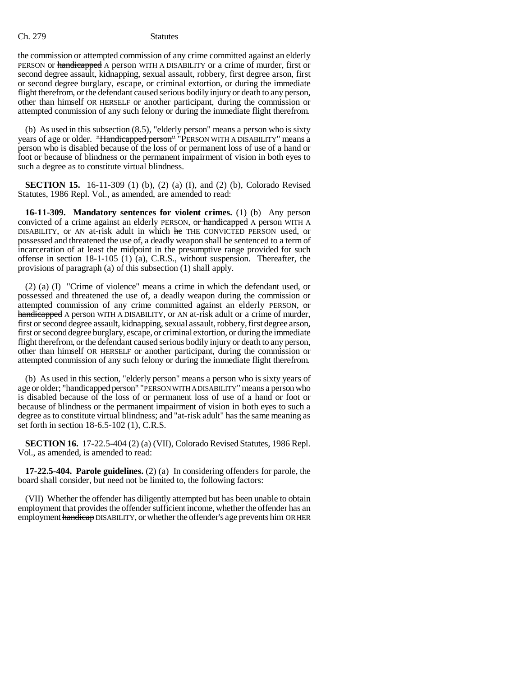the commission or attempted commission of any crime committed against an elderly PERSON or handicapped A person WITH A DISABILITY or a crime of murder, first or second degree assault, kidnapping, sexual assault, robbery, first degree arson, first or second degree burglary, escape, or criminal extortion, or during the immediate flight therefrom, or the defendant caused serious bodily injury or death to any person, other than himself OR HERSELF or another participant, during the commission or attempted commission of any such felony or during the immediate flight therefrom.

(b) As used in this subsection (8.5), "elderly person" means a person who is sixty years of age or older. "Handicapped person" "PERSON WITH A DISABILITY" means a person who is disabled because of the loss of or permanent loss of use of a hand or foot or because of blindness or the permanent impairment of vision in both eyes to such a degree as to constitute virtual blindness.

**SECTION 15.** 16-11-309 (1) (b), (2) (a) (I), and (2) (b), Colorado Revised Statutes, 1986 Repl. Vol., as amended, are amended to read:

**16-11-309. Mandatory sentences for violent crimes.** (1) (b) Any person convicted of a crime against an elderly PERSON, or handicapped A person WITH A DISABILITY, or AN at-risk adult in which he THE CONVICTED PERSON used, or possessed and threatened the use of, a deadly weapon shall be sentenced to a term of incarceration of at least the midpoint in the presumptive range provided for such offense in section 18-1-105 (1) (a), C.R.S., without suspension. Thereafter, the provisions of paragraph (a) of this subsection (1) shall apply.

(2) (a) (I) "Crime of violence" means a crime in which the defendant used, or possessed and threatened the use of, a deadly weapon during the commission or attempted commission of any crime committed against an elderly PERSON, or handicapped A person WITH A DISABILITY, or AN at-risk adult or a crime of murder, first or second degree assault, kidnapping, sexual assault, robbery, first degree arson, first or second degree burglary, escape, or criminal extortion, or during the immediate flight therefrom, or the defendant caused serious bodily injury or death to any person, other than himself OR HERSELF or another participant, during the commission or attempted commission of any such felony or during the immediate flight therefrom.

(b) As used in this section, "elderly person" means a person who is sixty years of age or older; "handicapped person" "PERSON WITH A DISABILITY" means a person who is disabled because of the loss of or permanent loss of use of a hand or foot or because of blindness or the permanent impairment of vision in both eyes to such a degree as to constitute virtual blindness; and "at-risk adult" has the same meaning as set forth in section 18-6.5-102 (1), C.R.S.

**SECTION 16.** 17-22.5-404 (2) (a) (VII), Colorado Revised Statutes, 1986 Repl. Vol., as amended, is amended to read:

**17-22.5-404. Parole guidelines.** (2) (a) In considering offenders for parole, the board shall consider, but need not be limited to, the following factors:

(VII) Whether the offender has diligently attempted but has been unable to obtain employment that provides the offender sufficient income, whether the offender has an employment handicap DISABILITY, or whether the offender's age prevents him OR HER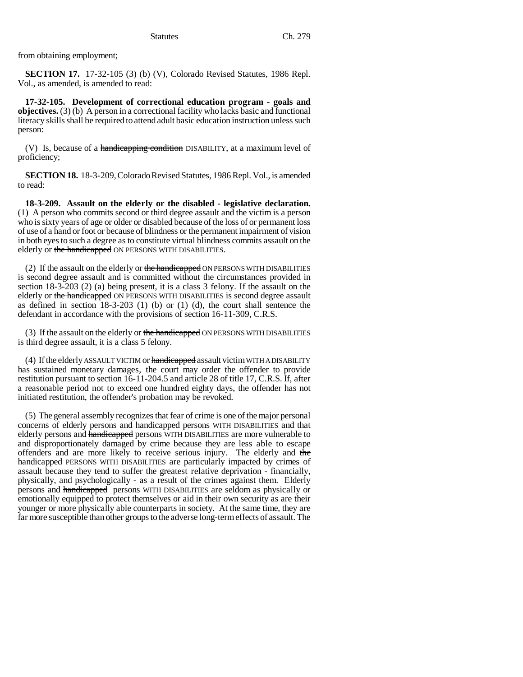from obtaining employment;

**SECTION 17.** 17-32-105 (3) (b) (V), Colorado Revised Statutes, 1986 Repl. Vol., as amended, is amended to read:

**17-32-105. Development of correctional education program - goals and objectives.** (3) (b) A person in a correctional facility who lacks basic and functional literacy skills shall be required to attend adult basic education instruction unless such person:

(V) Is, because of a handicapping condition DISABILITY, at a maximum level of proficiency;

**SECTION 18.** 18-3-209, Colorado Revised Statutes, 1986 Repl. Vol., is amended to read:

**18-3-209. Assault on the elderly or the disabled - legislative declaration.** (1) A person who commits second or third degree assault and the victim is a person who is sixty years of age or older or disabled because of the loss of or permanent loss of use of a hand or foot or because of blindness or the permanent impairment of vision in both eyes to such a degree as to constitute virtual blindness commits assault on the elderly or the handicapped ON PERSONS WITH DISABILITIES.

(2) If the assault on the elderly or the handicapped ON PERSONS WITH DISABILITIES is second degree assault and is committed without the circumstances provided in section 18-3-203 (2) (a) being present, it is a class 3 felony. If the assault on the elderly or the handicapped ON PERSONS WITH DISABILITIES is second degree assault as defined in section 18-3-203 (1) (b) or (1) (d), the court shall sentence the defendant in accordance with the provisions of section 16-11-309, C.R.S.

(3) If the assault on the elderly or the handicapped ON PERSONS WITH DISABILITIES is third degree assault, it is a class 5 felony.

(4) If the elderly ASSAULT VICTIM or handicapped assault victim WITH A DISABILITY has sustained monetary damages, the court may order the offender to provide restitution pursuant to section 16-11-204.5 and article 28 of title 17, C.R.S. If, after a reasonable period not to exceed one hundred eighty days, the offender has not initiated restitution, the offender's probation may be revoked.

(5) The general assembly recognizes that fear of crime is one of the major personal concerns of elderly persons and handicapped persons WITH DISABILITIES and that elderly persons and handicapped persons WITH DISABILITIES are more vulnerable to and disproportionately damaged by crime because they are less able to escape offenders and are more likely to receive serious injury. The elderly and the handicapped PERSONS WITH DISABILITIES are particularly impacted by crimes of assault because they tend to suffer the greatest relative deprivation - financially, physically, and psychologically - as a result of the crimes against them. Elderly persons and handicapped persons WITH DISABILITIES are seldom as physically or emotionally equipped to protect themselves or aid in their own security as are their younger or more physically able counterparts in society. At the same time, they are far more susceptible than other groups to the adverse long-term effects of assault. The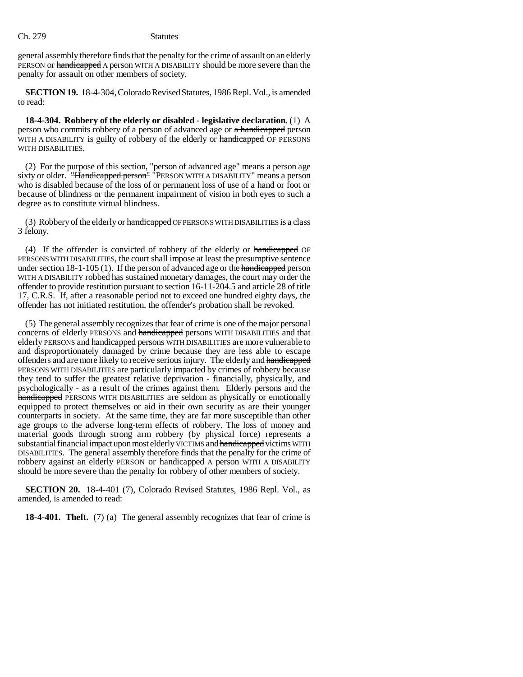general assembly therefore finds that the penalty for the crime of assault on an elderly PERSON or handicapped A person WITH A DISABILITY should be more severe than the penalty for assault on other members of society.

**SECTION 19.** 18-4-304, Colorado Revised Statutes, 1986 Repl. Vol., is amended to read:

**18-4-304. Robbery of the elderly or disabled - legislative declaration.** (1) A person who commits robbery of a person of advanced age or a handicapped person WITH A DISABILITY is guilty of robbery of the elderly or handicapped OF PERSONS WITH DISABILITIES.

(2) For the purpose of this section, "person of advanced age" means a person age sixty or older. "Handicapped person" "PERSON WITH A DISABILITY" means a person who is disabled because of the loss of or permanent loss of use of a hand or foot or because of blindness or the permanent impairment of vision in both eyes to such a degree as to constitute virtual blindness.

(3) Robbery of the elderly or handicapped OF PERSONS WITH DISABILITIES is a class 3 felony.

(4) If the offender is convicted of robbery of the elderly or handicapped OF PERSONS WITH DISABILITIES, the court shall impose at least the presumptive sentence under section  $18-1-105(1)$ . If the person of advanced age or the handicapped person WITH A DISABILITY robbed has sustained monetary damages, the court may order the offender to provide restitution pursuant to section 16-11-204.5 and article 28 of title 17, C.R.S. If, after a reasonable period not to exceed one hundred eighty days, the offender has not initiated restitution, the offender's probation shall be revoked.

(5) The general assembly recognizes that fear of crime is one of the major personal concerns of elderly PERSONS and handicapped persons WITH DISABILITIES and that elderly PERSONS and handicapped persons WITH DISABILITIES are more vulnerable to and disproportionately damaged by crime because they are less able to escape offenders and are more likely to receive serious injury. The elderly and handicapped PERSONS WITH DISABILITIES are particularly impacted by crimes of robbery because they tend to suffer the greatest relative deprivation - financially, physically, and psychologically - as a result of the crimes against them. Elderly persons and the handicapped PERSONS WITH DISABILITIES are seldom as physically or emotionally equipped to protect themselves or aid in their own security as are their younger counterparts in society. At the same time, they are far more susceptible than other age groups to the adverse long-term effects of robbery. The loss of money and material goods through strong arm robbery (by physical force) represents a substantial financial impact upon most elderly VICTIMS and handicapped victims WITH DISABILITIES. The general assembly therefore finds that the penalty for the crime of robbery against an elderly PERSON or handicapped A person WITH A DISABILITY should be more severe than the penalty for robbery of other members of society.

**SECTION 20.** 18-4-401 (7), Colorado Revised Statutes, 1986 Repl. Vol., as amended, is amended to read:

**18-4-401. Theft.** (7) (a) The general assembly recognizes that fear of crime is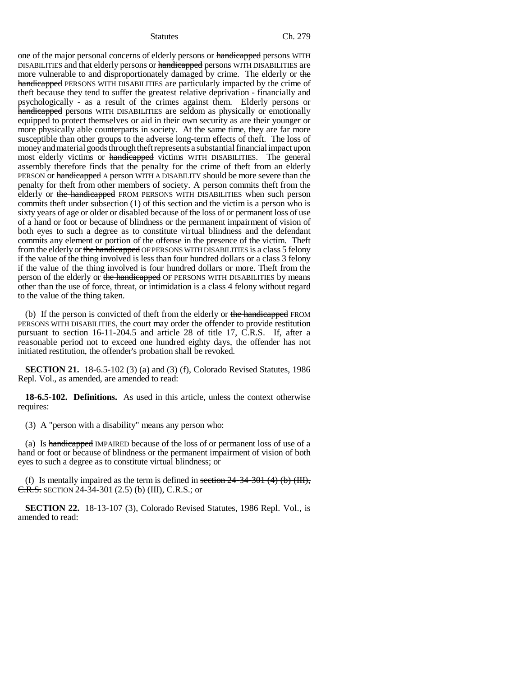one of the major personal concerns of elderly persons or handicapped persons WITH DISABILITIES and that elderly persons or handicapped persons WITH DISABILITIES are more vulnerable to and disproportionately damaged by crime. The elderly or the handicapped PERSONS WITH DISABILITIES are particularly impacted by the crime of theft because they tend to suffer the greatest relative deprivation - financially and psychologically - as a result of the crimes against them. Elderly persons or handicapped persons WITH DISABILITIES are seldom as physically or emotionally equipped to protect themselves or aid in their own security as are their younger or more physically able counterparts in society. At the same time, they are far more susceptible than other groups to the adverse long-term effects of theft. The loss of money and material goods through theft represents a substantial financial impact upon most elderly victims or handicapped victims WITH DISABILITIES. The general assembly therefore finds that the penalty for the crime of theft from an elderly PERSON or handicapped A person WITH A DISABILITY should be more severe than the penalty for theft from other members of society. A person commits theft from the elderly or the handicapped FROM PERSONS WITH DISABILITIES when such person commits theft under subsection (1) of this section and the victim is a person who is sixty years of age or older or disabled because of the loss of or permanent loss of use of a hand or foot or because of blindness or the permanent impairment of vision of both eyes to such a degree as to constitute virtual blindness and the defendant commits any element or portion of the offense in the presence of the victim. Theft from the elderly or the handicapped OF PERSONS WITH DISABILITIES is a class 5 felony if the value of the thing involved is less than four hundred dollars or a class 3 felony if the value of the thing involved is four hundred dollars or more. Theft from the person of the elderly or the handicapped OF PERSONS WITH DISABILITIES by means other than the use of force, threat, or intimidation is a class 4 felony without regard to the value of the thing taken.

(b) If the person is convicted of theft from the elderly or the handicapped FROM PERSONS WITH DISABILITIES, the court may order the offender to provide restitution pursuant to section 16-11-204.5 and article 28 of title 17, C.R.S. If, after a reasonable period not to exceed one hundred eighty days, the offender has not initiated restitution, the offender's probation shall be revoked.

**SECTION 21.** 18-6.5-102 (3) (a) and (3) (f), Colorado Revised Statutes, 1986 Repl. Vol., as amended, are amended to read:

**18-6.5-102. Definitions.** As used in this article, unless the context otherwise requires:

(3) A "person with a disability" means any person who:

(a) Is handicapped IMPAIRED because of the loss of or permanent loss of use of a hand or foot or because of blindness or the permanent impairment of vision of both eyes to such a degree as to constitute virtual blindness; or

(f) Is mentally impaired as the term is defined in section  $24-34-301$  (4) (b) (III), C.R.S. SECTION 24-34-301 (2.5) (b) (III), C.R.S.; or

**SECTION 22.** 18-13-107 (3), Colorado Revised Statutes, 1986 Repl. Vol., is amended to read: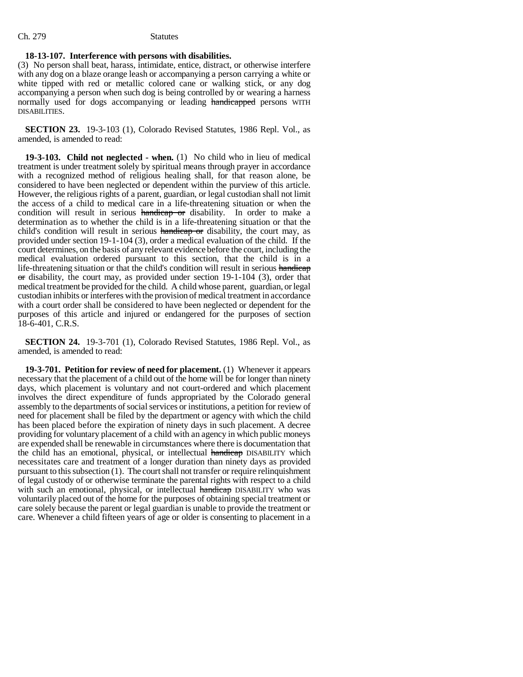### **18-13-107. Interference with persons with disabilities.**

(3) No person shall beat, harass, intimidate, entice, distract, or otherwise interfere with any dog on a blaze orange leash or accompanying a person carrying a white or white tipped with red or metallic colored cane or walking stick, or any dog accompanying a person when such dog is being controlled by or wearing a harness normally used for dogs accompanying or leading handicapped persons WITH DISABILITIES.

**SECTION 23.** 19-3-103 (1), Colorado Revised Statutes, 1986 Repl. Vol., as amended, is amended to read:

**19-3-103. Child not neglected - when.** (1) No child who in lieu of medical treatment is under treatment solely by spiritual means through prayer in accordance with a recognized method of religious healing shall, for that reason alone, be considered to have been neglected or dependent within the purview of this article. However, the religious rights of a parent, guardian, or legal custodian shall not limit the access of a child to medical care in a life-threatening situation or when the condition will result in serious handicap or disability. In order to make a determination as to whether the child is in a life-threatening situation or that the child's condition will result in serious handicap or disability, the court may, as provided under section 19-1-104 (3), order a medical evaluation of the child. If the court determines, on the basis of any relevant evidence before the court, including the medical evaluation ordered pursuant to this section, that the child is in a life-threatening situation or that the child's condition will result in serious handicap  $\sigma$ r disability, the court may, as provided under section 19-1-104 (3), order that medical treatment be provided for the child. A child whose parent, guardian, or legal custodian inhibits or interferes with the provision of medical treatment in accordance with a court order shall be considered to have been neglected or dependent for the purposes of this article and injured or endangered for the purposes of section 18-6-401, C.R.S.

**SECTION 24.** 19-3-701 (1), Colorado Revised Statutes, 1986 Repl. Vol., as amended, is amended to read:

**19-3-701. Petition for review of need for placement.** (1) Whenever it appears necessary that the placement of a child out of the home will be for longer than ninety days, which placement is voluntary and not court-ordered and which placement involves the direct expenditure of funds appropriated by the Colorado general assembly to the departments of social services or institutions, a petition for review of need for placement shall be filed by the department or agency with which the child has been placed before the expiration of ninety days in such placement. A decree providing for voluntary placement of a child with an agency in which public moneys are expended shall be renewable in circumstances where there is documentation that the child has an emotional, physical, or intellectual handicap DISABILITY which necessitates care and treatment of a longer duration than ninety days as provided pursuant to this subsection (1). The court shall not transfer or require relinquishment of legal custody of or otherwise terminate the parental rights with respect to a child with such an emotional, physical, or intellectual handicap DISABILITY who was voluntarily placed out of the home for the purposes of obtaining special treatment or care solely because the parent or legal guardian is unable to provide the treatment or care. Whenever a child fifteen years of age or older is consenting to placement in a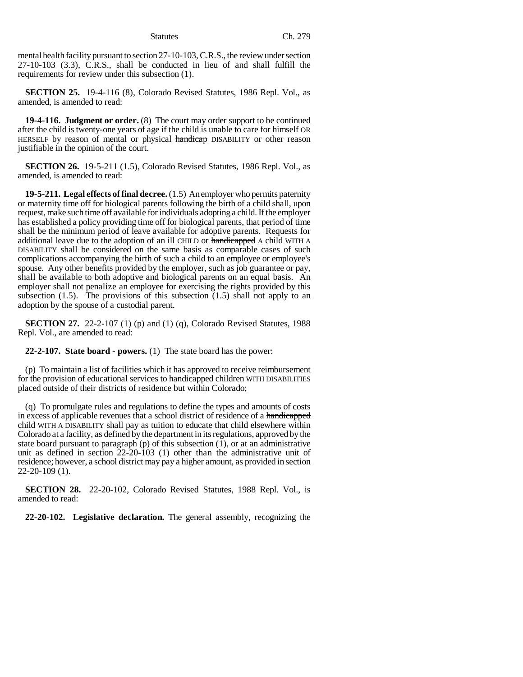mental health facility pursuant to section 27-10-103, C.R.S., the review under section 27-10-103 (3.3), C.R.S., shall be conducted in lieu of and shall fulfill the requirements for review under this subsection (1).

**SECTION 25.** 19-4-116 (8), Colorado Revised Statutes, 1986 Repl. Vol., as amended, is amended to read:

**19-4-116. Judgment or order.** (8) The court may order support to be continued after the child is twenty-one years of age if the child is unable to care for himself OR HERSELF by reason of mental or physical handicap DISABILITY or other reason justifiable in the opinion of the court.

**SECTION 26.** 19-5-211 (1.5), Colorado Revised Statutes, 1986 Repl. Vol., as amended, is amended to read:

**19-5-211. Legal effects of final decree.** (1.5) An employer who permits paternity or maternity time off for biological parents following the birth of a child shall, upon request, make such time off available for individuals adopting a child. If the employer has established a policy providing time off for biological parents, that period of time shall be the minimum period of leave available for adoptive parents. Requests for additional leave due to the adoption of an ill CHILD or handicapped A child WITH A DISABILITY shall be considered on the same basis as comparable cases of such complications accompanying the birth of such a child to an employee or employee's spouse. Any other benefits provided by the employer, such as job guarantee or pay, shall be available to both adoptive and biological parents on an equal basis. An employer shall not penalize an employee for exercising the rights provided by this subsection  $(1.5)$ . The provisions of this subsection  $(1.5)$  shall not apply to an adoption by the spouse of a custodial parent.

**SECTION 27.** 22-2-107 (1) (p) and (1) (q), Colorado Revised Statutes, 1988 Repl. Vol., are amended to read:

**22-2-107. State board - powers.** (1) The state board has the power:

(p) To maintain a list of facilities which it has approved to receive reimbursement for the provision of educational services to handicapped children WITH DISABILITIES placed outside of their districts of residence but within Colorado;

(q) To promulgate rules and regulations to define the types and amounts of costs in excess of applicable revenues that a school district of residence of a handicapped child WITH A DISABILITY shall pay as tuition to educate that child elsewhere within Colorado at a facility, as defined by the department in its regulations, approved by the state board pursuant to paragraph (p) of this subsection (1), or at an administrative unit as defined in section 22-20-103 (1) other than the administrative unit of residence; however, a school district may pay a higher amount, as provided in section 22-20-109 (1).

**SECTION 28.** 22-20-102, Colorado Revised Statutes, 1988 Repl. Vol., is amended to read:

**22-20-102. Legislative declaration.** The general assembly, recognizing the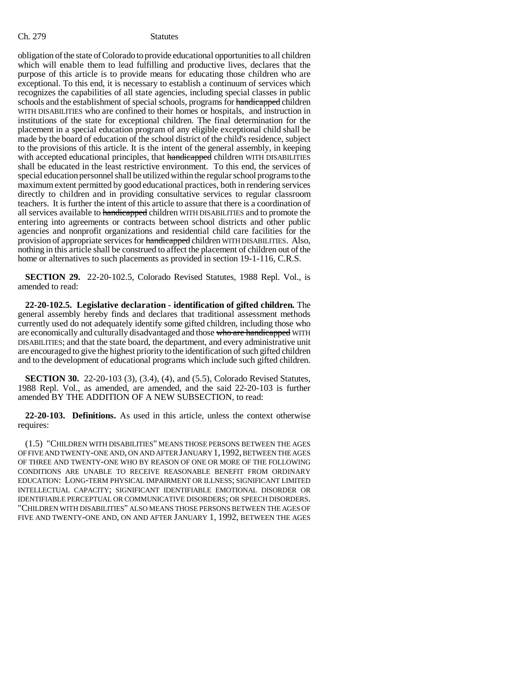obligation of the state of Colorado to provide educational opportunities to all children which will enable them to lead fulfilling and productive lives, declares that the purpose of this article is to provide means for educating those children who are exceptional. To this end, it is necessary to establish a continuum of services which recognizes the capabilities of all state agencies, including special classes in public schools and the establishment of special schools, programs for handicapped children WITH DISABILITIES who are confined to their homes or hospitals, and instruction in institutions of the state for exceptional children. The final determination for the placement in a special education program of any eligible exceptional child shall be made by the board of education of the school district of the child's residence, subject to the provisions of this article. It is the intent of the general assembly, in keeping with accepted educational principles, that handicapped children WITH DISABILITIES shall be educated in the least restrictive environment. To this end, the services of special education personnel shall be utilized within the regular school programs to the maximum extent permitted by good educational practices, both in rendering services directly to children and in providing consultative services to regular classroom teachers. It is further the intent of this article to assure that there is a coordination of all services available to handicapped children WITH DISABILITIES and to promote the entering into agreements or contracts between school districts and other public agencies and nonprofit organizations and residential child care facilities for the provision of appropriate services for handicapped children WITH DISABILITIES. Also, nothing in this article shall be construed to affect the placement of children out of the home or alternatives to such placements as provided in section 19-1-116, C.R.S.

**SECTION 29.** 22-20-102.5, Colorado Revised Statutes, 1988 Repl. Vol., is amended to read:

**22-20-102.5. Legislative declaration - identification of gifted children.** The general assembly hereby finds and declares that traditional assessment methods currently used do not adequately identify some gifted children, including those who are economically and culturally disadvantaged and those who are handicapped WITH DISABILITIES; and that the state board, the department, and every administrative unit are encouraged to give the highest priority to the identification of such gifted children and to the development of educational programs which include such gifted children.

**SECTION 30.** 22-20-103 (3), (3.4), (4), and (5.5), Colorado Revised Statutes, 1988 Repl. Vol., as amended, are amended, and the said 22-20-103 is further amended BY THE ADDITION OF A NEW SUBSECTION, to read:

**22-20-103. Definitions.** As used in this article, unless the context otherwise requires:

(1.5) "CHILDREN WITH DISABILITIES" MEANS THOSE PERSONS BETWEEN THE AGES OF FIVE AND TWENTY-ONE AND, ON AND AFTER JANUARY 1,1992, BETWEEN THE AGES OF THREE AND TWENTY-ONE WHO BY REASON OF ONE OR MORE OF THE FOLLOWING CONDITIONS ARE UNABLE TO RECEIVE REASONABLE BENEFIT FROM ORDINARY EDUCATION: LONG-TERM PHYSICAL IMPAIRMENT OR ILLNESS; SIGNIFICANT LIMITED INTELLECTUAL CAPACITY; SIGNIFICANT IDENTIFIABLE EMOTIONAL DISORDER OR IDENTIFIABLE PERCEPTUAL OR COMMUNICATIVE DISORDERS; OR SPEECH DISORDERS. "CHILDREN WITH DISABILITIES" ALSO MEANS THOSE PERSONS BETWEEN THE AGES OF FIVE AND TWENTY-ONE AND, ON AND AFTER JANUARY 1, 1992, BETWEEN THE AGES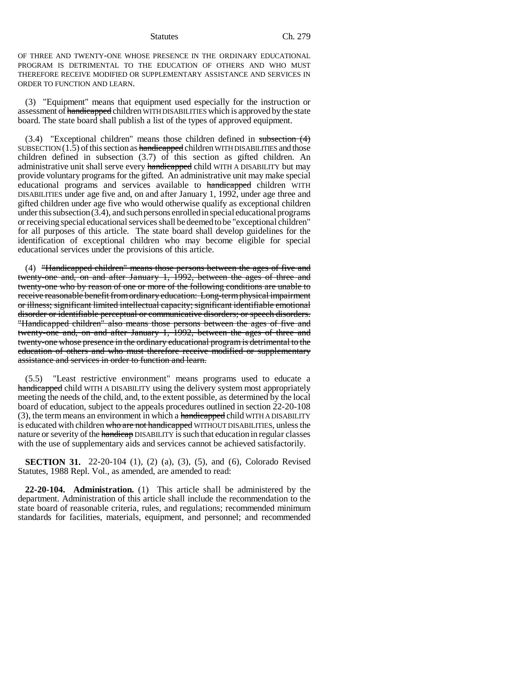OF THREE AND TWENTY-ONE WHOSE PRESENCE IN THE ORDINARY EDUCATIONAL PROGRAM IS DETRIMENTAL TO THE EDUCATION OF OTHERS AND WHO MUST THEREFORE RECEIVE MODIFIED OR SUPPLEMENTARY ASSISTANCE AND SERVICES IN ORDER TO FUNCTION AND LEARN.

(3) "Equipment" means that equipment used especially for the instruction or assessment of handicapped children WITH DISABILITIES which is approved by the state board. The state board shall publish a list of the types of approved equipment.

 $(3.4)$  "Exceptional children" means those children defined in subsection  $(4)$ SUBSECTION (1.5) of this section as handicapped children WITH DISABILITIES and those children defined in subsection (3.7) of this section as gifted children. An administrative unit shall serve every handicapped child WITH A DISABILITY but may provide voluntary programs for the gifted. An administrative unit may make special educational programs and services available to handicapped children WITH DISABILITIES under age five and, on and after January 1, 1992, under age three and gifted children under age five who would otherwise qualify as exceptional children under this subsection (3.4), and such persons enrolled in special educational programs or receiving special educational services shall be deemed to be "exceptional children" for all purposes of this article. The state board shall develop guidelines for the identification of exceptional children who may become eligible for special educational services under the provisions of this article.

(4) "Handicapped children" means those persons between the ages of five and twenty-one and, on and after January 1, 1992, between the ages of three and twenty-one who by reason of one or more of the following conditions are unable to receive reasonable benefit from ordinary education: Long-term physical impairment or illness; significant limited intellectual capacity; significant identifiable emotional disorder or identifiable perceptual or communicative disorders; or speech disorders. "Handicapped children" also means those persons between the ages of five and twenty-one and, on and after January 1, 1992, between the ages of three and twenty-one whose presence in the ordinary educational program is detrimental to the education of others and who must therefore receive modified or supplementary assistance and services in order to function and learn.

(5.5) "Least restrictive environment" means programs used to educate a handicapped child WITH A DISABILITY using the delivery system most appropriately meeting the needs of the child, and, to the extent possible, as determined by the local board of education, subject to the appeals procedures outlined in section 22-20-108 (3), the term means an environment in which a handicapped child WITH A DISABILITY is educated with children who are not handicapped WITHOUT DISABILITIES, unless the nature or severity of the handicap DISABILITY is such that education in regular classes with the use of supplementary aids and services cannot be achieved satisfactorily.

**SECTION 31.** 22-20-104 (1), (2) (a), (3), (5), and (6), Colorado Revised Statutes, 1988 Repl. Vol., as amended, are amended to read:

**22-20-104. Administration.** (1) This article shall be administered by the department. Administration of this article shall include the recommendation to the state board of reasonable criteria, rules, and regulations; recommended minimum standards for facilities, materials, equipment, and personnel; and recommended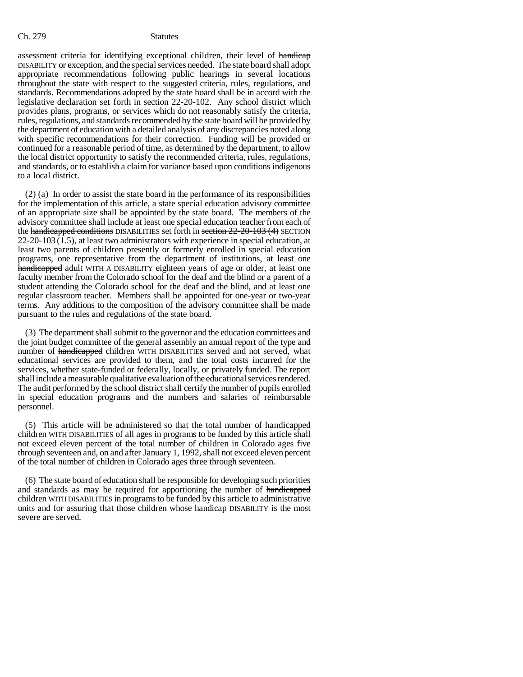assessment criteria for identifying exceptional children, their level of handicap DISABILITY or exception, and the special services needed. The state board shall adopt appropriate recommendations following public hearings in several locations throughout the state with respect to the suggested criteria, rules, regulations, and standards. Recommendations adopted by the state board shall be in accord with the legislative declaration set forth in section 22-20-102. Any school district which provides plans, programs, or services which do not reasonably satisfy the criteria, rules, regulations, and standards recommended by the state board will be provided by the department of education with a detailed analysis of any discrepancies noted along with specific recommendations for their correction. Funding will be provided or continued for a reasonable period of time, as determined by the department, to allow the local district opportunity to satisfy the recommended criteria, rules, regulations, and standards, or to establish a claim for variance based upon conditions indigenous to a local district.

(2) (a) In order to assist the state board in the performance of its responsibilities for the implementation of this article, a state special education advisory committee of an appropriate size shall be appointed by the state board. The members of the advisory committee shall include at least one special education teacher from each of the handicapped conditions DISABILITIES set forth in section 22-20-103 (4) SECTION 22-20-103 (1.5), at least two administrators with experience in special education, at least two parents of children presently or formerly enrolled in special education programs, one representative from the department of institutions, at least one handicapped adult WITH A DISABILITY eighteen years of age or older, at least one faculty member from the Colorado school for the deaf and the blind or a parent of a student attending the Colorado school for the deaf and the blind, and at least one regular classroom teacher. Members shall be appointed for one-year or two-year terms. Any additions to the composition of the advisory committee shall be made pursuant to the rules and regulations of the state board.

(3) The department shall submit to the governor and the education committees and the joint budget committee of the general assembly an annual report of the type and number of handicapped children WITH DISABILITIES served and not served, what educational services are provided to them, and the total costs incurred for the services, whether state-funded or federally, locally, or privately funded. The report shall include a measurable qualitative evaluation of the educational services rendered. The audit performed by the school district shall certify the number of pupils enrolled in special education programs and the numbers and salaries of reimbursable personnel.

(5) This article will be administered so that the total number of handicapped children WITH DISABILITIES of all ages in programs to be funded by this article shall not exceed eleven percent of the total number of children in Colorado ages five through seventeen and, on and after January 1, 1992, shall not exceed eleven percent of the total number of children in Colorado ages three through seventeen.

(6) The state board of education shall be responsible for developing such priorities and standards as may be required for apportioning the number of handicapped children WITH DISABILITIES in programs to be funded by this article to administrative units and for assuring that those children whose handicap DISABILITY is the most severe are served.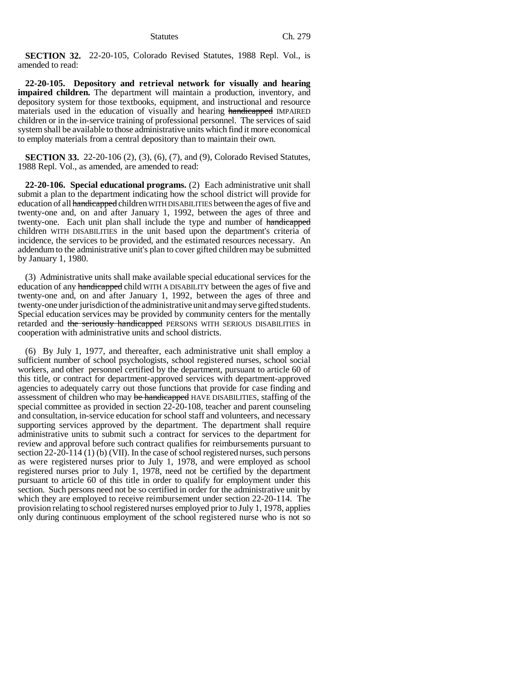**SECTION 32.** 22-20-105, Colorado Revised Statutes, 1988 Repl. Vol., is amended to read:

**22-20-105. Depository and retrieval network for visually and hearing impaired children.** The department will maintain a production, inventory, and depository system for those textbooks, equipment, and instructional and resource materials used in the education of visually and hearing handicapped IMPAIRED children or in the in-service training of professional personnel. The services of said system shall be available to those administrative units which find it more economical to employ materials from a central depository than to maintain their own.

**SECTION 33.** 22-20-106 (2), (3), (6), (7), and (9), Colorado Revised Statutes, 1988 Repl. Vol., as amended, are amended to read:

**22-20-106. Special educational programs.** (2) Each administrative unit shall submit a plan to the department indicating how the school district will provide for education of all handicapped children WITH DISABILITIES between the ages of five and twenty-one and, on and after January 1, 1992, between the ages of three and twenty-one. Each unit plan shall include the type and number of handicapped children WITH DISABILITIES in the unit based upon the department's criteria of incidence, the services to be provided, and the estimated resources necessary. An addendum to the administrative unit's plan to cover gifted children may be submitted by January 1, 1980.

(3) Administrative units shall make available special educational services for the education of any handicapped child WITH A DISABILITY between the ages of five and twenty-one and, on and after January 1, 1992, between the ages of three and twenty-one under jurisdiction of the administrative unit and may serve gifted students. Special education services may be provided by community centers for the mentally retarded and the seriously handicapped PERSONS WITH SERIOUS DISABILITIES in cooperation with administrative units and school districts.

(6) By July 1, 1977, and thereafter, each administrative unit shall employ a sufficient number of school psychologists, school registered nurses, school social workers, and other personnel certified by the department, pursuant to article 60 of this title, or contract for department-approved services with department-approved agencies to adequately carry out those functions that provide for case finding and assessment of children who may be handicapped HAVE DISABILITIES, staffing of the special committee as provided in section 22-20-108, teacher and parent counseling and consultation, in-service education for school staff and volunteers, and necessary supporting services approved by the department. The department shall require administrative units to submit such a contract for services to the department for review and approval before such contract qualifies for reimbursements pursuant to section 22-20-114 (1) (b) (VII). In the case of school registered nurses, such persons as were registered nurses prior to July 1, 1978, and were employed as school registered nurses prior to July 1, 1978, need not be certified by the department pursuant to article 60 of this title in order to qualify for employment under this section. Such persons need not be so certified in order for the administrative unit by which they are employed to receive reimbursement under section 22-20-114. The provision relating to school registered nurses employed prior to July 1, 1978, applies only during continuous employment of the school registered nurse who is not so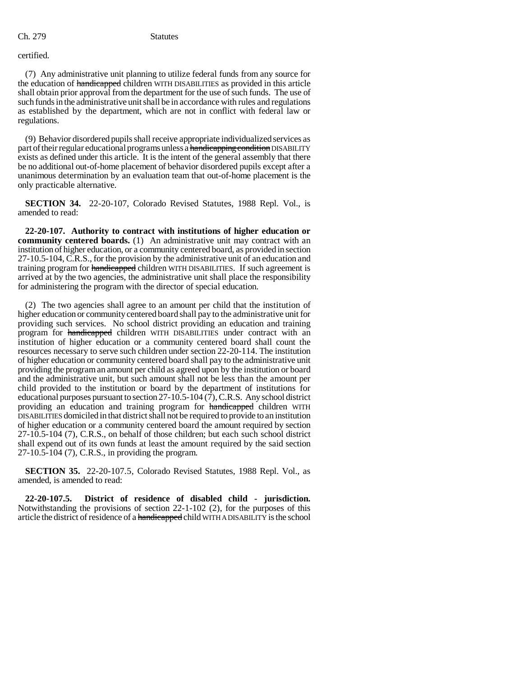### certified.

(7) Any administrative unit planning to utilize federal funds from any source for the education of handicapped children WITH DISABILITIES as provided in this article shall obtain prior approval from the department for the use of such funds. The use of such funds in the administrative unit shall be in accordance with rules and regulations as established by the department, which are not in conflict with federal law or regulations.

(9) Behavior disordered pupils shall receive appropriate individualized services as part of their regular educational programs unless a handicapping condition DISABILITY exists as defined under this article. It is the intent of the general assembly that there be no additional out-of-home placement of behavior disordered pupils except after a unanimous determination by an evaluation team that out-of-home placement is the only practicable alternative.

**SECTION 34.** 22-20-107, Colorado Revised Statutes, 1988 Repl. Vol., is amended to read:

**22-20-107. Authority to contract with institutions of higher education or community centered boards.** (1) An administrative unit may contract with an institution of higher education, or a community centered board, as provided in section 27-10.5-104, C.R.S., for the provision by the administrative unit of an education and training program for handicapped children WITH DISABILITIES. If such agreement is arrived at by the two agencies, the administrative unit shall place the responsibility for administering the program with the director of special education.

(2) The two agencies shall agree to an amount per child that the institution of higher education or community centered board shall pay to the administrative unit for providing such services. No school district providing an education and training program for handicapped children WITH DISABILITIES under contract with an institution of higher education or a community centered board shall count the resources necessary to serve such children under section 22-20-114. The institution of higher education or community centered board shall pay to the administrative unit providing the program an amount per child as agreed upon by the institution or board and the administrative unit, but such amount shall not be less than the amount per child provided to the institution or board by the department of institutions for educational purposes pursuant to section 27-10.5-104 (7), C.R.S. Any school district providing an education and training program for **handicapped** children WITH DISABILITIES domiciled in that district shall not be required to provide to an institution of higher education or a community centered board the amount required by section 27-10.5-104 (7), C.R.S., on behalf of those children; but each such school district shall expend out of its own funds at least the amount required by the said section 27-10.5-104 (7), C.R.S., in providing the program.

**SECTION 35.** 22-20-107.5, Colorado Revised Statutes, 1988 Repl. Vol., as amended, is amended to read:

**22-20-107.5. District of residence of disabled child - jurisdiction.** Notwithstanding the provisions of section 22-1-102 (2), for the purposes of this article the district of residence of a handicapped child WITH A DISABILITY is the school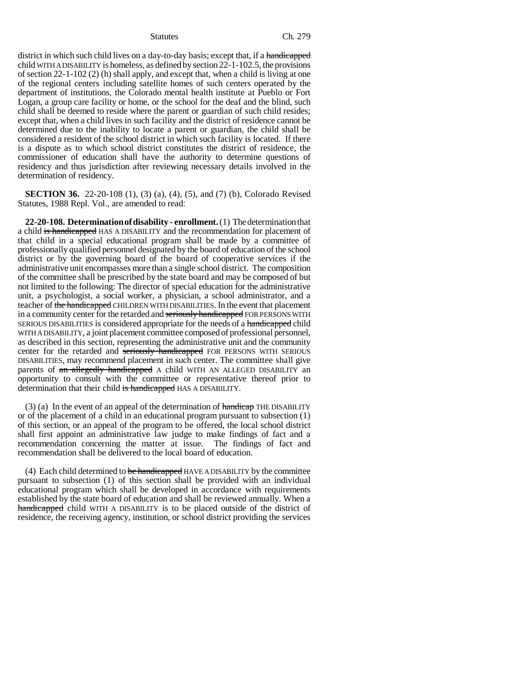district in which such child lives on a day-to-day basis; except that, if a handicapped child WITH A DISABILITY is homeless, as defined by section 22-1-102.5, the provisions of section 22-1-102 (2) (h) shall apply, and except that, when a child is living at one of the regional centers including satellite homes of such centers operated by the department of institutions, the Colorado mental health institute at Pueblo or Fort Logan, a group care facility or home, or the school for the deaf and the blind, such child shall be deemed to reside where the parent or guardian of such child resides; except that, when a child lives in such facility and the district of residence cannot be determined due to the inability to locate a parent or guardian, the child shall be considered a resident of the school district in which such facility is located. If there is a dispute as to which school district constitutes the district of residence, the commissioner of education shall have the authority to determine questions of residency and thus jurisdiction after reviewing necessary details involved in the determination of residency.

**SECTION 36.** 22-20-108 (1), (3) (a), (4), (5), and (7) (b), Colorado Revised Statutes, 1988 Repl. Vol., are amended to read:

**22-20-108. Determination of disability - enrollment.** (1) The determination that a child is handicapped HAS A DISABILITY and the recommendation for placement of that child in a special educational program shall be made by a committee of professionally qualified personnel designated by the board of education of the school district or by the governing board of the board of cooperative services if the administrative unit encompasses more than a single school district. The composition of the committee shall be prescribed by the state board and may be composed of but not limited to the following: The director of special education for the administrative unit, a psychologist, a social worker, a physician, a school administrator, and a teacher of the handicapped CHILDREN WITH DISABILITIES. In the event that placement in a community center for the retarded and seriously handicapped FOR PERSONS WITH SERIOUS DISABILITIES is considered appropriate for the needs of a handicapped child WITH A DISABILITY, a joint placement committee composed of professional personnel, as described in this section, representing the administrative unit and the community center for the retarded and seriously handicapped FOR PERSONS WITH SERIOUS DISABILITIES, may recommend placement in such center. The committee shall give parents of an allegedly handicapped A child WITH AN ALLEGED DISABILITY an opportunity to consult with the committee or representative thereof prior to determination that their child is handicapped HAS A DISABILITY.

(3) (a) In the event of an appeal of the determination of  $\theta$  handicap THE DISABILITY or of the placement of a child in an educational program pursuant to subsection (1) of this section, or an appeal of the program to be offered, the local school district shall first appoint an administrative law judge to make findings of fact and a recommendation concerning the matter at issue. The findings of fact and recommendation shall be delivered to the local board of education.

(4) Each child determined to be handicapped HAVE A DISABILITY by the committee pursuant to subsection (1) of this section shall be provided with an individual educational program which shall be developed in accordance with requirements established by the state board of education and shall be reviewed annually. When a handicapped child WITH A DISABILITY is to be placed outside of the district of residence, the receiving agency, institution, or school district providing the services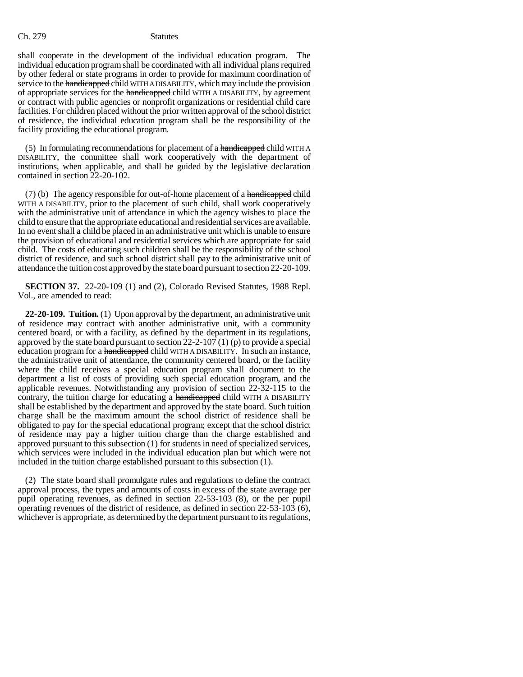shall cooperate in the development of the individual education program. The individual education program shall be coordinated with all individual plans required by other federal or state programs in order to provide for maximum coordination of service to the handicapped child WITH A DISABILITY, which may include the provision of appropriate services for the handicapped child WITH A DISABILITY, by agreement or contract with public agencies or nonprofit organizations or residential child care facilities. For children placed without the prior written approval of the school district of residence, the individual education program shall be the responsibility of the facility providing the educational program.

(5) In formulating recommendations for placement of a handicapped child WITH A DISABILITY, the committee shall work cooperatively with the department of institutions, when applicable, and shall be guided by the legislative declaration contained in section 22-20-102.

(7) (b) The agency responsible for out-of-home placement of a handicapped child WITH A DISABILITY, prior to the placement of such child, shall work cooperatively with the administrative unit of attendance in which the agency wishes to place the child to ensure that the appropriate educational and residential services are available. In no event shall a child be placed in an administrative unit which is unable to ensure the provision of educational and residential services which are appropriate for said child. The costs of educating such children shall be the responsibility of the school district of residence, and such school district shall pay to the administrative unit of attendance the tuition cost approved by the state board pursuant to section 22-20-109.

**SECTION 37.** 22-20-109 (1) and (2), Colorado Revised Statutes, 1988 Repl. Vol., are amended to read:

**22-20-109. Tuition.** (1) Upon approval by the department, an administrative unit of residence may contract with another administrative unit, with a community centered board, or with a facility, as defined by the department in its regulations, approved by the state board pursuant to section 22-2-107 (1) (p) to provide a special education program for a handicapped child WITH A DISABILITY. In such an instance, the administrative unit of attendance, the community centered board, or the facility where the child receives a special education program shall document to the department a list of costs of providing such special education program, and the applicable revenues. Notwithstanding any provision of section 22-32-115 to the contrary, the tuition charge for educating a handicapped child WITH A DISABILITY shall be established by the department and approved by the state board. Such tuition charge shall be the maximum amount the school district of residence shall be obligated to pay for the special educational program; except that the school district of residence may pay a higher tuition charge than the charge established and approved pursuant to this subsection (1) for students in need of specialized services, which services were included in the individual education plan but which were not included in the tuition charge established pursuant to this subsection (1).

(2) The state board shall promulgate rules and regulations to define the contract approval process, the types and amounts of costs in excess of the state average per pupil operating revenues, as defined in section 22-53-103 (8), or the per pupil operating revenues of the district of residence, as defined in section 22-53-103 (6), whichever is appropriate, as determined by the department pursuant to its regulations,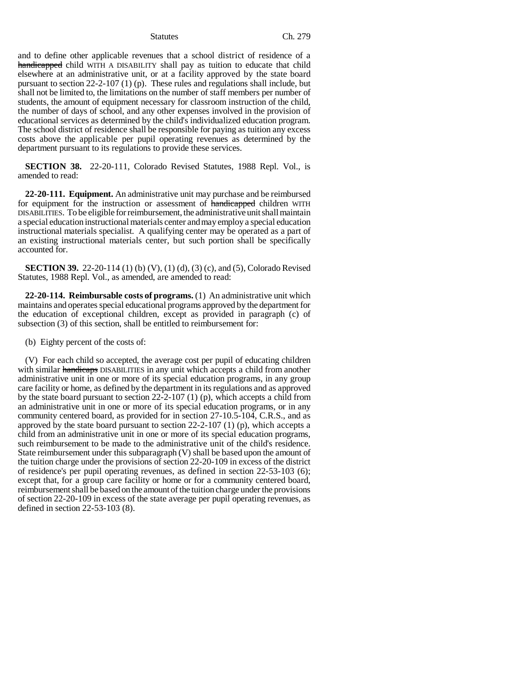and to define other applicable revenues that a school district of residence of a handicapped child WITH A DISABILITY shall pay as tuition to educate that child elsewhere at an administrative unit, or at a facility approved by the state board pursuant to section 22-2-107 (1) (p). These rules and regulations shall include, but shall not be limited to, the limitations on the number of staff members per number of students, the amount of equipment necessary for classroom instruction of the child, the number of days of school, and any other expenses involved in the provision of educational services as determined by the child's individualized education program. The school district of residence shall be responsible for paying as tuition any excess costs above the applicable per pupil operating revenues as determined by the department pursuant to its regulations to provide these services.

**SECTION 38.** 22-20-111, Colorado Revised Statutes, 1988 Repl. Vol., is amended to read:

**22-20-111. Equipment.** An administrative unit may purchase and be reimbursed for equipment for the instruction or assessment of handicapped children WITH DISABILITIES. To be eligible for reimbursement, the administrative unit shall maintain a special education instructional materials center and may employ a special education instructional materials specialist. A qualifying center may be operated as a part of an existing instructional materials center, but such portion shall be specifically accounted for.

**SECTION 39.** 22-20-114 (1) (b) (V), (1) (d), (3) (c), and (5), Colorado Revised Statutes, 1988 Repl. Vol., as amended, are amended to read:

**22-20-114. Reimbursable costs of programs.** (1) An administrative unit which maintains and operates special educational programs approved by the department for the education of exceptional children, except as provided in paragraph (c) of subsection (3) of this section, shall be entitled to reimbursement for:

(b) Eighty percent of the costs of:

(V) For each child so accepted, the average cost per pupil of educating children with similar handicaps DISABILITIES in any unit which accepts a child from another administrative unit in one or more of its special education programs, in any group care facility or home, as defined by the department in its regulations and as approved by the state board pursuant to section 22-2-107 (1) (p), which accepts a child from an administrative unit in one or more of its special education programs, or in any community centered board, as provided for in section 27-10.5-104, C.R.S., and as approved by the state board pursuant to section 22-2-107 (1) (p), which accepts a child from an administrative unit in one or more of its special education programs, such reimbursement to be made to the administrative unit of the child's residence. State reimbursement under this subparagraph (V) shall be based upon the amount of the tuition charge under the provisions of section 22-20-109 in excess of the district of residence's per pupil operating revenues, as defined in section 22-53-103 (6); except that, for a group care facility or home or for a community centered board, reimbursement shall be based on the amount of the tuition charge under the provisions of section 22-20-109 in excess of the state average per pupil operating revenues, as defined in section 22-53-103 (8).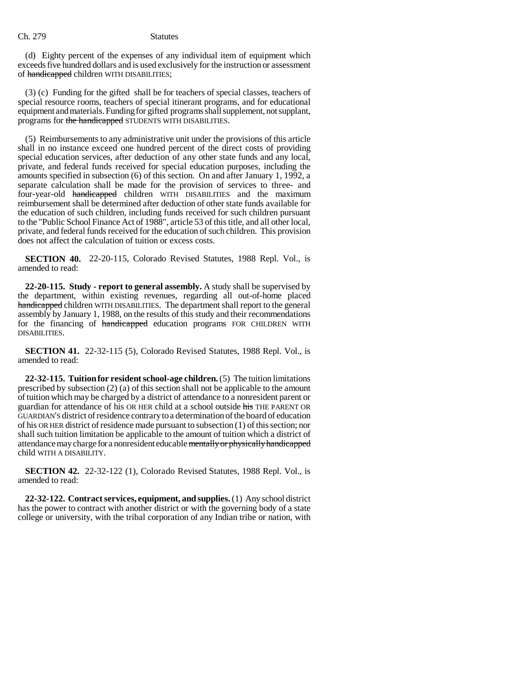(d) Eighty percent of the expenses of any individual item of equipment which exceeds five hundred dollars and is used exclusively for the instruction or assessment of handicapped children WITH DISABILITIES;

(3) (c) Funding for the gifted shall be for teachers of special classes, teachers of special resource rooms, teachers of special itinerant programs, and for educational equipment and materials. Funding for gifted programs shall supplement, not supplant, programs for the handicapped STUDENTS WITH DISABILITIES.

(5) Reimbursements to any administrative unit under the provisions of this article shall in no instance exceed one hundred percent of the direct costs of providing special education services, after deduction of any other state funds and any local, private, and federal funds received for special education purposes, including the amounts specified in subsection (6) of this section. On and after January 1, 1992, a separate calculation shall be made for the provision of services to three- and four-year-old handicapped children WITH DISABILITIES and the maximum reimbursement shall be determined after deduction of other state funds available for the education of such children, including funds received for such children pursuant to the "Public School Finance Act of 1988", article 53 of this title, and all other local, private, and federal funds received for the education of such children. This provision does not affect the calculation of tuition or excess costs.

**SECTION 40.** 22-20-115, Colorado Revised Statutes, 1988 Repl. Vol., is amended to read:

**22-20-115. Study - report to general assembly.** A study shall be supervised by the department, within existing revenues, regarding all out-of-home placed handicapped children WITH DISABILITIES. The department shall report to the general assembly by January 1, 1988, on the results of this study and their recommendations for the financing of handicapped education programs FOR CHILDREN WITH DISABILITIES.

**SECTION 41.** 22-32-115 (5), Colorado Revised Statutes, 1988 Repl. Vol., is amended to read:

**22-32-115. Tuition for resident school-age children.** (5) The tuition limitations prescribed by subsection (2) (a) of this section shall not be applicable to the amount of tuition which may be charged by a district of attendance to a nonresident parent or guardian for attendance of his OR HER child at a school outside his THE PARENT OR GUARDIAN'S district of residence contrary to a determination of the board of education of his OR HER district of residence made pursuant to subsection (1) of this section; nor shall such tuition limitation be applicable to the amount of tuition which a district of attendance may charge for a nonresident educable mentally or physically handicapped child WITH A DISABILITY.

**SECTION 42.** 22-32-122 (1), Colorado Revised Statutes, 1988 Repl. Vol., is amended to read:

**22-32-122. Contract services, equipment, and supplies.** (1) Any school district has the power to contract with another district or with the governing body of a state college or university, with the tribal corporation of any Indian tribe or nation, with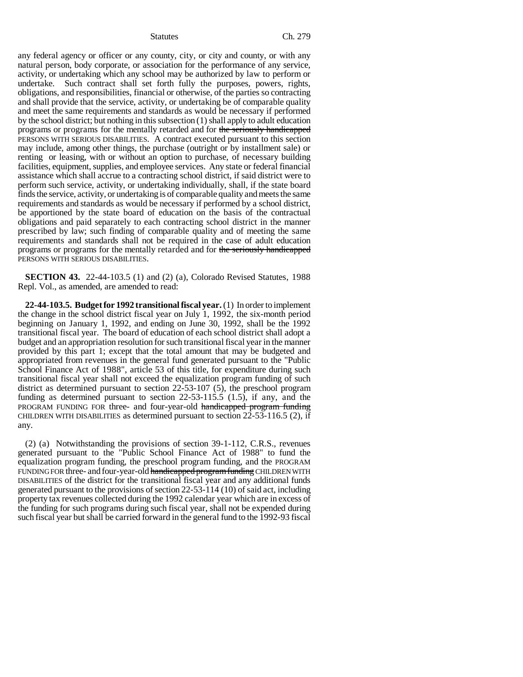any federal agency or officer or any county, city, or city and county, or with any natural person, body corporate, or association for the performance of any service, activity, or undertaking which any school may be authorized by law to perform or undertake. Such contract shall set forth fully the purposes, powers, rights, obligations, and responsibilities, financial or otherwise, of the parties so contracting and shall provide that the service, activity, or undertaking be of comparable quality and meet the same requirements and standards as would be necessary if performed by the school district; but nothing in this subsection (1) shall apply to adult education programs or programs for the mentally retarded and for the seriously handicapped PERSONS WITH SERIOUS DISABILITIES. A contract executed pursuant to this section may include, among other things, the purchase (outright or by installment sale) or renting or leasing, with or without an option to purchase, of necessary building facilities, equipment, supplies, and employee services. Any state or federal financial assistance which shall accrue to a contracting school district, if said district were to perform such service, activity, or undertaking individually, shall, if the state board finds the service, activity, or undertaking is of comparable quality and meets the same requirements and standards as would be necessary if performed by a school district, be apportioned by the state board of education on the basis of the contractual obligations and paid separately to each contracting school district in the manner prescribed by law; such finding of comparable quality and of meeting the same requirements and standards shall not be required in the case of adult education programs or programs for the mentally retarded and for the seriously handicapped PERSONS WITH SERIOUS DISABILITIES.

**SECTION 43.** 22-44-103.5 (1) and (2) (a), Colorado Revised Statutes, 1988 Repl. Vol., as amended, are amended to read:

**22-44-103.5. Budget for 1992 transitional fiscal year.** (1) In order to implement the change in the school district fiscal year on July 1, 1992, the six-month period beginning on January 1, 1992, and ending on June 30, 1992, shall be the 1992 transitional fiscal year. The board of education of each school district shall adopt a budget and an appropriation resolution for such transitional fiscal year in the manner provided by this part 1; except that the total amount that may be budgeted and appropriated from revenues in the general fund generated pursuant to the "Public School Finance Act of 1988", article 53 of this title, for expenditure during such transitional fiscal year shall not exceed the equalization program funding of such district as determined pursuant to section 22-53-107 (5), the preschool program funding as determined pursuant to section 22-53-115.5 (1.5), if any, and the PROGRAM FUNDING FOR three- and four-year-old handicapped program funding CHILDREN WITH DISABILITIES as determined pursuant to section 22-53-116.5 (2), if any.

(2) (a) Notwithstanding the provisions of section 39-1-112, C.R.S., revenues generated pursuant to the "Public School Finance Act of 1988" to fund the equalization program funding, the preschool program funding, and the PROGRAM FUNDING FOR three- and four-year-old handicapped program funding CHILDREN WITH DISABILITIES of the district for the transitional fiscal year and any additional funds generated pursuant to the provisions of section 22-53-114 (10) of said act, including property tax revenues collected during the 1992 calendar year which are in excess of the funding for such programs during such fiscal year, shall not be expended during such fiscal year but shall be carried forward in the general fund to the 1992-93 fiscal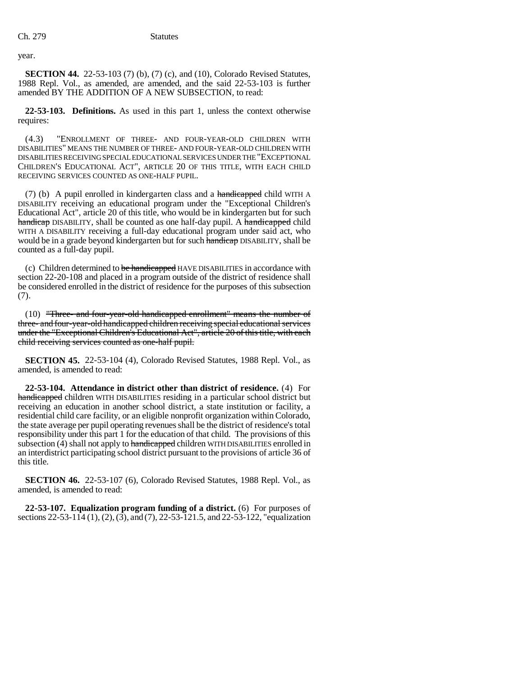year.

**SECTION 44.** 22-53-103 (7) (b), (7) (c), and (10), Colorado Revised Statutes, 1988 Repl. Vol., as amended, are amended, and the said 22-53-103 is further amended BY THE ADDITION OF A NEW SUBSECTION, to read:

**22-53-103. Definitions.** As used in this part 1, unless the context otherwise requires:

(4.3) "ENROLLMENT OF THREE- AND FOUR-YEAR-OLD CHILDREN WITH DISABILITIES" MEANS THE NUMBER OF THREE- AND FOUR-YEAR-OLD CHILDREN WITH DISABILITIES RECEIVING SPECIAL EDUCATIONAL SERVICES UNDER THE "EXCEPTIONAL CHILDREN'S EDUCATIONAL ACT", ARTICLE 20 OF THIS TITLE, WITH EACH CHILD RECEIVING SERVICES COUNTED AS ONE-HALF PUPIL.

(7) (b) A pupil enrolled in kindergarten class and a handicapped child WITH A DISABILITY receiving an educational program under the "Exceptional Children's Educational Act", article 20 of this title, who would be in kindergarten but for such handicap DISABILITY, shall be counted as one half-day pupil. A handicapped child WITH A DISABILITY receiving a full-day educational program under said act, who would be in a grade beyond kindergarten but for such handicap DISABILITY, shall be counted as a full-day pupil.

(c) Children determined to be handicapped HAVE DISABILITIES in accordance with section 22-20-108 and placed in a program outside of the district of residence shall be considered enrolled in the district of residence for the purposes of this subsection (7).

(10) "Three- and four-year-old handicapped enrollment" means the number of three- and four-year-old handicapped children receiving special educational services under the "Exceptional Children's Educational Act", article 20 of this title, with each child receiving services counted as one-half pupil.

**SECTION 45.** 22-53-104 (4), Colorado Revised Statutes, 1988 Repl. Vol., as amended, is amended to read:

**22-53-104. Attendance in district other than district of residence.** (4) For handicapped children WITH DISABILITIES residing in a particular school district but receiving an education in another school district, a state institution or facility, a residential child care facility, or an eligible nonprofit organization within Colorado, the state average per pupil operating revenues shall be the district of residence's total responsibility under this part 1 for the education of that child. The provisions of this subsection (4) shall not apply to handicapped children WITH DISABILITIES enrolled in an interdistrict participating school district pursuant to the provisions of article 36 of this title.

**SECTION 46.** 22-53-107 (6), Colorado Revised Statutes, 1988 Repl. Vol., as amended, is amended to read:

**22-53-107. Equalization program funding of a district.** (6) For purposes of sections 22-53-114 (1), (2), (3), and (7), 22-53-121.5, and 22-53-122, "equalization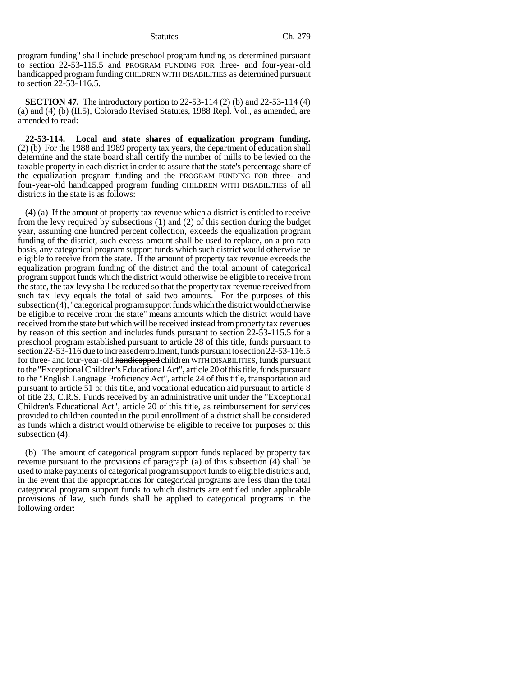program funding" shall include preschool program funding as determined pursuant to section 22-53-115.5 and PROGRAM FUNDING FOR three- and four-year-old handicapped program funding CHILDREN WITH DISABILITIES as determined pursuant to section 22-53-116.5.

**SECTION 47.** The introductory portion to 22-53-114 (2) (b) and 22-53-114 (4) (a) and (4) (b) (II.5), Colorado Revised Statutes, 1988 Repl. Vol., as amended, are amended to read:

**22-53-114. Local and state shares of equalization program funding.** (2) (b) For the 1988 and 1989 property tax years, the department of education shall determine and the state board shall certify the number of mills to be levied on the taxable property in each district in order to assure that the state's percentage share of the equalization program funding and the PROGRAM FUNDING FOR three- and four-year-old handicapped program funding CHILDREN WITH DISABILITIES of all districts in the state is as follows:

(4) (a) If the amount of property tax revenue which a district is entitled to receive from the levy required by subsections (1) and (2) of this section during the budget year, assuming one hundred percent collection, exceeds the equalization program funding of the district, such excess amount shall be used to replace, on a pro rata basis, any categorical program support funds which such district would otherwise be eligible to receive from the state. If the amount of property tax revenue exceeds the equalization program funding of the district and the total amount of categorical program support funds which the district would otherwise be eligible to receive from the state, the tax levy shall be reduced so that the property tax revenue received from such tax levy equals the total of said two amounts. For the purposes of this subsection (4), "categorical program support funds which the district would otherwise be eligible to receive from the state" means amounts which the district would have received from the state but which will be received instead from property tax revenues by reason of this section and includes funds pursuant to section 22-53-115.5 for a preschool program established pursuant to article 28 of this title, funds pursuant to section 22-53-116 due to increased enrollment, funds pursuant to section 22-53-116.5 for three- and four-year-old handicapped children WITH DISABILITIES, funds pursuant to the "Exceptional Children's Educational Act", article 20 of this title, funds pursuant to the "English Language Proficiency Act", article 24 of this title, transportation aid pursuant to article 51 of this title, and vocational education aid pursuant to article 8 of title 23, C.R.S. Funds received by an administrative unit under the "Exceptional Children's Educational Act", article 20 of this title, as reimbursement for services provided to children counted in the pupil enrollment of a district shall be considered as funds which a district would otherwise be eligible to receive for purposes of this subsection (4).

(b) The amount of categorical program support funds replaced by property tax revenue pursuant to the provisions of paragraph (a) of this subsection (4) shall be used to make payments of categorical program support funds to eligible districts and, in the event that the appropriations for categorical programs are less than the total categorical program support funds to which districts are entitled under applicable provisions of law, such funds shall be applied to categorical programs in the following order: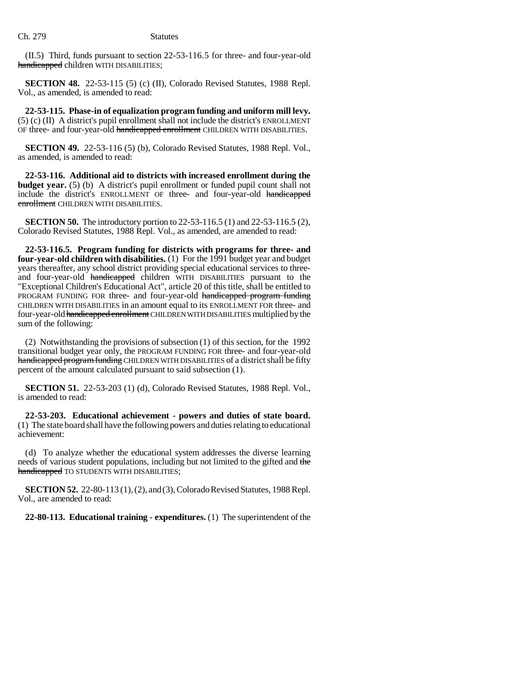(II.5) Third, funds pursuant to section 22-53-116.5 for three- and four-year-old handicapped children WITH DISABILITIES;

**SECTION 48.** 22-53-115 (5) (c) (II), Colorado Revised Statutes, 1988 Repl. Vol., as amended, is amended to read:

**22-53-115. Phase-in of equalization program funding and uniform mill levy.** (5) (c) (II) A district's pupil enrollment shall not include the district's ENROLLMENT OF three- and four-year-old handicapped enrollment CHILDREN WITH DISABILITIES.

**SECTION 49.** 22-53-116 (5) (b), Colorado Revised Statutes, 1988 Repl. Vol., as amended, is amended to read:

**22-53-116. Additional aid to districts with increased enrollment during the budget year.** (5) (b) A district's pupil enrollment or funded pupil count shall not include the district's ENROLLMENT OF three- and four-year-old handicapped enrollment CHILDREN WITH DISABILITIES.

**SECTION 50.** The introductory portion to 22-53-116.5 (1) and 22-53-116.5 (2), Colorado Revised Statutes, 1988 Repl. Vol., as amended, are amended to read:

**22-53-116.5. Program funding for districts with programs for three- and four-year-old children with disabilities.** (1) For the 1991 budget year and budget years thereafter, any school district providing special educational services to threeand four-year-old handicapped children WITH DISABILITIES pursuant to the "Exceptional Children's Educational Act", article 20 of this title, shall be entitled to PROGRAM FUNDING FOR three- and four-year-old handicapped program funding CHILDREN WITH DISABILITIES in an amount equal to its ENROLLMENT FOR three- and four-year-old handicapped enrollment CHILDREN WITH DISABILITIES multiplied by the sum of the following:

(2) Notwithstanding the provisions of subsection (1) of this section, for the 1992 transitional budget year only, the PROGRAM FUNDING FOR three- and four-year-old handicapped program funding CHILDREN WITH DISABILITIES of a district shall be fifty percent of the amount calculated pursuant to said subsection (1).

**SECTION 51.** 22-53-203 (1) (d), Colorado Revised Statutes, 1988 Repl. Vol., is amended to read:

**22-53-203. Educational achievement - powers and duties of state board.** (1) The state board shall have the following powers and duties relating to educational achievement:

(d) To analyze whether the educational system addresses the diverse learning needs of various student populations, including but not limited to the gifted and the handicapped TO STUDENTS WITH DISABILITIES;

**SECTION 52.** 22-80-113 (1), (2), and (3), Colorado Revised Statutes, 1988 Repl. Vol., are amended to read:

**22-80-113. Educational training - expenditures.** (1) The superintendent of the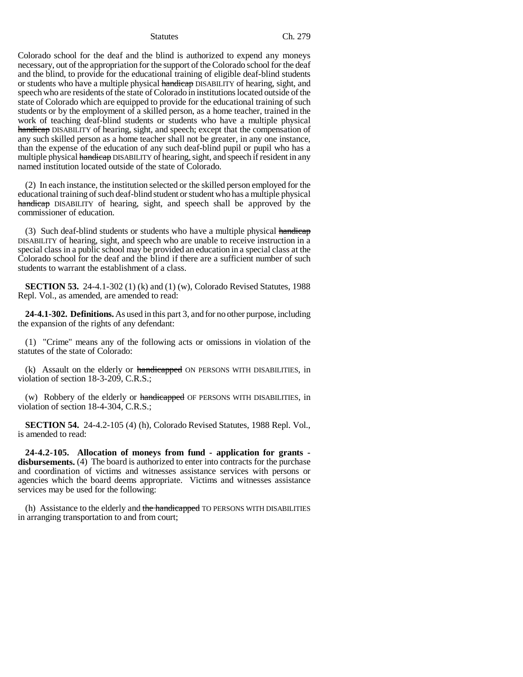Colorado school for the deaf and the blind is authorized to expend any moneys necessary, out of the appropriation for the support of the Colorado school for the deaf and the blind, to provide for the educational training of eligible deaf-blind students or students who have a multiple physical handicap DISABILITY of hearing, sight, and speech who are residents of the state of Colorado in institutions located outside of the state of Colorado which are equipped to provide for the educational training of such students or by the employment of a skilled person, as a home teacher, trained in the work of teaching deaf-blind students or students who have a multiple physical handicap DISABILITY of hearing, sight, and speech; except that the compensation of any such skilled person as a home teacher shall not be greater, in any one instance, than the expense of the education of any such deaf-blind pupil or pupil who has a multiple physical handicap DISABILITY of hearing, sight, and speech if resident in any named institution located outside of the state of Colorado.

(2) In each instance, the institution selected or the skilled person employed for the educational training of such deaf-blind student or student who has a multiple physical handicap DISABILITY of hearing, sight, and speech shall be approved by the commissioner of education.

(3) Such deaf-blind students or students who have a multiple physical handicap DISABILITY of hearing, sight, and speech who are unable to receive instruction in a special class in a public school may be provided an education in a special class at the Colorado school for the deaf and the blind if there are a sufficient number of such students to warrant the establishment of a class.

**SECTION 53.** 24-4.1-302 (1) (k) and (1) (w), Colorado Revised Statutes, 1988 Repl. Vol., as amended, are amended to read:

**24-4.1-302. Definitions.** As used in this part 3, and for no other purpose, including the expansion of the rights of any defendant:

(1) "Crime" means any of the following acts or omissions in violation of the statutes of the state of Colorado:

(k) Assault on the elderly or handicapped ON PERSONS WITH DISABILITIES, in violation of section 18-3-209, C.R.S.;

(w) Robbery of the elderly or handicapped OF PERSONS WITH DISABILITIES, in violation of section 18-4-304, C.R.S.;

**SECTION 54.** 24-4.2-105 (4) (h), Colorado Revised Statutes, 1988 Repl. Vol., is amended to read:

**24-4.2-105. Allocation of moneys from fund - application for grants disbursements.** (4) The board is authorized to enter into contracts for the purchase and coordination of victims and witnesses assistance services with persons or agencies which the board deems appropriate. Victims and witnesses assistance services may be used for the following:

(h) Assistance to the elderly and the handicapped TO PERSONS WITH DISABILITIES in arranging transportation to and from court;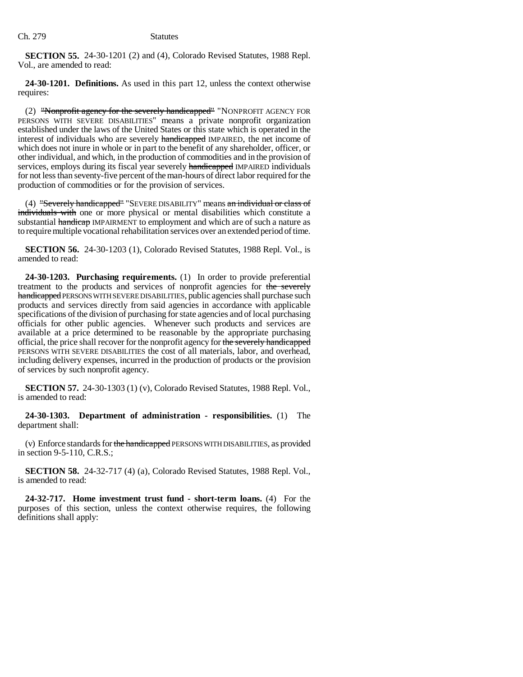**SECTION 55.** 24-30-1201 (2) and (4), Colorado Revised Statutes, 1988 Repl. Vol., are amended to read:

**24-30-1201. Definitions.** As used in this part 12, unless the context otherwise requires:

(2) "Nonprofit agency for the severely handicapped" "NONPROFIT AGENCY FOR PERSONS WITH SEVERE DISABILITIES" means a private nonprofit organization established under the laws of the United States or this state which is operated in the interest of individuals who are severely handicapped IMPAIRED, the net income of which does not inure in whole or in part to the benefit of any shareholder, officer, or other individual, and which, in the production of commodities and in the provision of services, employs during its fiscal year severely handicapped IMPAIRED individuals for not less than seventy-five percent of the man-hours of direct labor required for the production of commodities or for the provision of services.

(4) "Severely handicapped" "SEVERE DISABILITY" means an individual or class of individuals with one or more physical or mental disabilities which constitute a substantial handicap IMPAIRMENT to employment and which are of such a nature as to require multiple vocational rehabilitation services over an extended period of time.

**SECTION 56.** 24-30-1203 (1), Colorado Revised Statutes, 1988 Repl. Vol., is amended to read:

**24-30-1203. Purchasing requirements.** (1) In order to provide preferential treatment to the products and services of nonprofit agencies for the severely handicapped PERSONS WITH SEVERE DISABILITIES, public agencies shall purchase such products and services directly from said agencies in accordance with applicable specifications of the division of purchasing for state agencies and of local purchasing officials for other public agencies. Whenever such products and services are available at a price determined to be reasonable by the appropriate purchasing official, the price shall recover for the nonprofit agency for the severely handicapped PERSONS WITH SEVERE DISABILITIES the cost of all materials, labor, and overhead, including delivery expenses, incurred in the production of products or the provision of services by such nonprofit agency.

**SECTION 57.** 24-30-1303 (1) (v), Colorado Revised Statutes, 1988 Repl. Vol., is amended to read:

**24-30-1303. Department of administration - responsibilities.** (1) The department shall:

(v) Enforce standards for the handicapped PERSONS WITH DISABILITIES, as provided in section 9-5-110, C.R.S.;

**SECTION 58.** 24-32-717 (4) (a), Colorado Revised Statutes, 1988 Repl. Vol., is amended to read:

**24-32-717. Home investment trust fund - short-term loans.** (4) For the purposes of this section, unless the context otherwise requires, the following definitions shall apply: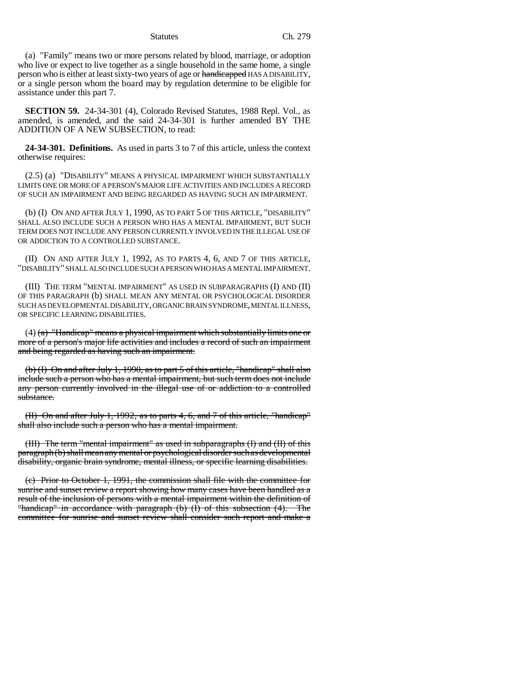(a) "Family" means two or more persons related by blood, marriage, or adoption who live or expect to live together as a single household in the same home, a single person who is either at least sixty-two years of age or handicapped HAS A DISABILITY, or a single person whom the board may by regulation determine to be eligible for assistance under this part 7.

**SECTION 59.** 24-34-301 (4), Colorado Revised Statutes, 1988 Repl. Vol., as amended, is amended, and the said 24-34-301 is further amended BY THE ADDITION OF A NEW SUBSECTION, to read:

**24-34-301. Definitions.** As used in parts 3 to 7 of this article, unless the context otherwise requires:

(2.5) (a) "DISABILITY" MEANS A PHYSICAL IMPAIRMENT WHICH SUBSTANTIALLY LIMITS ONE OR MORE OF A PERSON'S MAJOR LIFE ACTIVITIES AND INCLUDES A RECORD OF SUCH AN IMPAIRMENT AND BEING REGARDED AS HAVING SUCH AN IMPAIRMENT.

(b) (I) ON AND AFTER JULY 1, 1990, AS TO PART 5 OF THIS ARTICLE, "DISABILITY" SHALL ALSO INCLUDE SUCH A PERSON WHO HAS A MENTAL IMPAIRMENT, BUT SUCH TERM DOES NOT INCLUDE ANY PERSON CURRENTLY INVOLVED IN THE ILLEGAL USE OF OR ADDICTION TO A CONTROLLED SUBSTANCE.

(II) ON AND AFTER JULY 1, 1992, AS TO PARTS 4, 6, AND 7 OF THIS ARTICLE, "DISABILITY" SHALL ALSO INCLUDE SUCH A PERSON WHO HAS A MENTAL IMPAIRMENT.

(III) THE TERM "MENTAL IMPAIRMENT" AS USED IN SUBPARAGRAPHS (I) AND (II) OF THIS PARAGRAPH (b) SHALL MEAN ANY MENTAL OR PSYCHOLOGICAL DISORDER SUCH AS DEVELOPMENTAL DISABILITY, ORGANIC BRAIN SYNDROME, MENTAL ILLNESS, OR SPECIFIC LEARNING DISABILITIES.

 $(4)$  (a) "Handicap" means a physical impairment which substantially limits one or more of a person's major life activities and includes a record of such an impairment and being regarded as having such an impairment.

(b) (I) On and after July 1, 1990, as to part 5 of this article, "handicap" shall also include such a person who has a mental impairment, but such term does not include any person currently involved in the illegal use of or addiction to a controlled substance.

(II) On and after July 1, 1992, as to parts 4, 6, and 7 of this article, "handicap" shall also include such a person who has a mental impairment.

(III) The term "mental impairment" as used in subparagraphs (I) and (II) of this paragraph (b) shall mean any mental or psychological disorder such as developmental disability, organic brain syndrome, mental illness, or specific learning disabilities.

(c) Prior to October 1, 1991, the commission shall file with the committee for sunrise and sunset review a report showing how many cases have been handled as a result of the inclusion of persons with a mental impairment within the definition of "handicap" in accordance with paragraph (b) (I) of this subsection (4). The committee for sunrise and sunset review shall consider such report and make a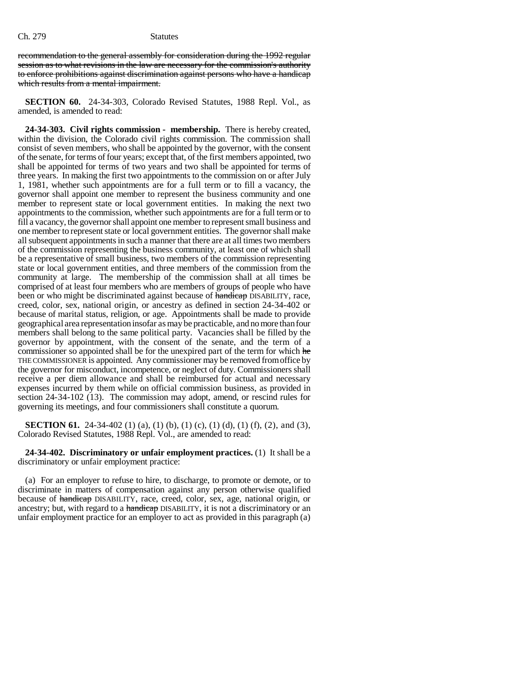recommendation to the general assembly for consideration during the 1992 regular session as to what revisions in the law are necessary for the commission's authority to enforce prohibitions against discrimination against persons who have a handicap which results from a mental impairment.

**SECTION 60.** 24-34-303, Colorado Revised Statutes, 1988 Repl. Vol., as amended, is amended to read:

**24-34-303. Civil rights commission - membership.** There is hereby created, within the division, the Colorado civil rights commission. The commission shall consist of seven members, who shall be appointed by the governor, with the consent of the senate, for terms of four years; except that, of the first members appointed, two shall be appointed for terms of two years and two shall be appointed for terms of three years. In making the first two appointments to the commission on or after July 1, 1981, whether such appointments are for a full term or to fill a vacancy, the governor shall appoint one member to represent the business community and one member to represent state or local government entities. In making the next two appointments to the commission, whether such appointments are for a full term or to fill a vacancy, the governor shall appoint one member to represent small business and one member to represent state or local government entities. The governor shall make all subsequent appointments in such a manner that there are at all times two members of the commission representing the business community, at least one of which shall be a representative of small business, two members of the commission representing state or local government entities, and three members of the commission from the community at large. The membership of the commission shall at all times be comprised of at least four members who are members of groups of people who have been or who might be discriminated against because of handicap DISABILITY, race, creed, color, sex, national origin, or ancestry as defined in section 24-34-402 or because of marital status, religion, or age. Appointments shall be made to provide geographical area representation insofar as may be practicable, and no more than four members shall belong to the same political party. Vacancies shall be filled by the governor by appointment, with the consent of the senate, and the term of a commissioner so appointed shall be for the unexpired part of the term for which he THE COMMISSIONER is appointed. Any commissioner may be removed from office by the governor for misconduct, incompetence, or neglect of duty. Commissioners shall receive a per diem allowance and shall be reimbursed for actual and necessary expenses incurred by them while on official commission business, as provided in section 24-34-102 (13). The commission may adopt, amend, or rescind rules for governing its meetings, and four commissioners shall constitute a quorum.

**SECTION 61.** 24-34-402 (1) (a), (1) (b), (1) (c), (1) (d), (1) (f), (2), and (3), Colorado Revised Statutes, 1988 Repl. Vol., are amended to read:

**24-34-402. Discriminatory or unfair employment practices.** (1) It shall be a discriminatory or unfair employment practice:

(a) For an employer to refuse to hire, to discharge, to promote or demote, or to discriminate in matters of compensation against any person otherwise qualified because of handicap DISABILITY, race, creed, color, sex, age, national origin, or ancestry; but, with regard to a handicap DISABILITY, it is not a discriminatory or an unfair employment practice for an employer to act as provided in this paragraph (a)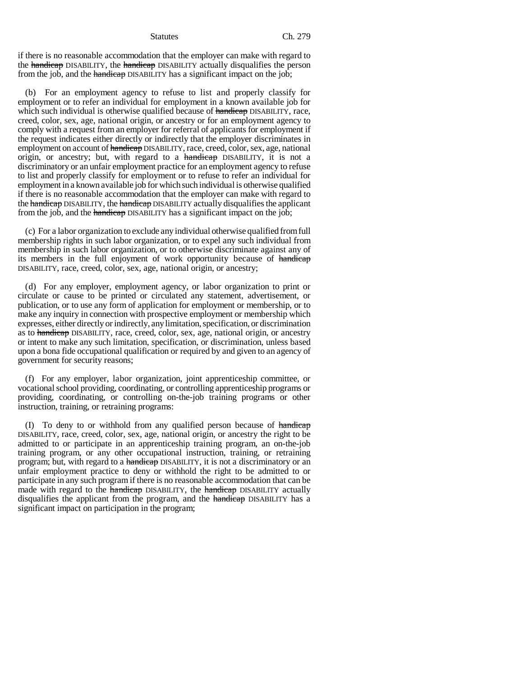if there is no reasonable accommodation that the employer can make with regard to the handicap DISABILITY, the handicap DISABILITY actually disqualifies the person from the job, and the handicap DISABILITY has a significant impact on the job;

(b) For an employment agency to refuse to list and properly classify for employment or to refer an individual for employment in a known available job for which such individual is otherwise qualified because of handicap DISABILITY, race, creed, color, sex, age, national origin, or ancestry or for an employment agency to comply with a request from an employer for referral of applicants for employment if the request indicates either directly or indirectly that the employer discriminates in employment on account of handicap DISABILITY, race, creed, color, sex, age, national origin, or ancestry; but, with regard to a handicap DISABILITY, it is not a discriminatory or an unfair employment practice for an employment agency to refuse to list and properly classify for employment or to refuse to refer an individual for employment in a known available job for which such individual is otherwise qualified if there is no reasonable accommodation that the employer can make with regard to the handicap DISABILITY, the handicap DISABILITY actually disqualifies the applicant from the job, and the handicap DISABILITY has a significant impact on the job;

(c) For a labor organization to exclude any individual otherwise qualified from full membership rights in such labor organization, or to expel any such individual from membership in such labor organization, or to otherwise discriminate against any of its members in the full enjoyment of work opportunity because of handicap DISABILITY, race, creed, color, sex, age, national origin, or ancestry;

(d) For any employer, employment agency, or labor organization to print or circulate or cause to be printed or circulated any statement, advertisement, or publication, or to use any form of application for employment or membership, or to make any inquiry in connection with prospective employment or membership which expresses, either directly or indirectly, any limitation, specification, or discrimination as to handicap DISABILITY, race, creed, color, sex, age, national origin, or ancestry or intent to make any such limitation, specification, or discrimination, unless based upon a bona fide occupational qualification or required by and given to an agency of government for security reasons;

(f) For any employer, labor organization, joint apprenticeship committee, or vocational school providing, coordinating, or controlling apprenticeship programs or providing, coordinating, or controlling on-the-job training programs or other instruction, training, or retraining programs:

(I) To deny to or withhold from any qualified person because of handicap DISABILITY, race, creed, color, sex, age, national origin, or ancestry the right to be admitted to or participate in an apprenticeship training program, an on-the-job training program, or any other occupational instruction, training, or retraining program; but, with regard to a handicap DISABILITY, it is not a discriminatory or an unfair employment practice to deny or withhold the right to be admitted to or participate in any such program if there is no reasonable accommodation that can be made with regard to the handicap DISABILITY, the handicap DISABILITY actually disqualifies the applicant from the program, and the handicap DISABILITY has a significant impact on participation in the program;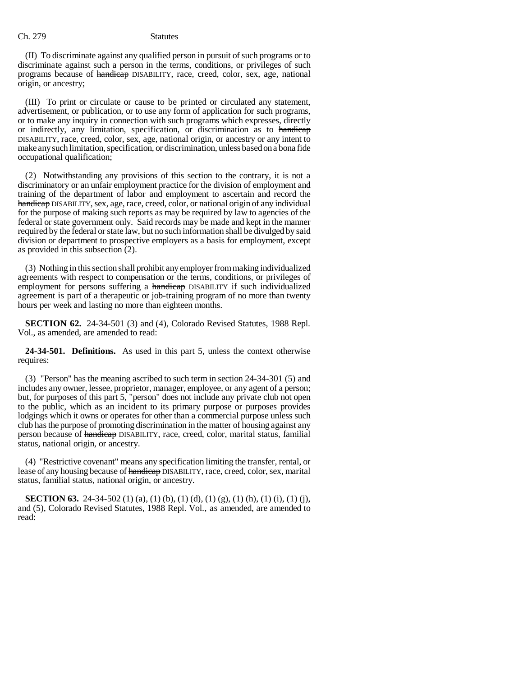(II) To discriminate against any qualified person in pursuit of such programs or to discriminate against such a person in the terms, conditions, or privileges of such programs because of handicap DISABILITY, race, creed, color, sex, age, national origin, or ancestry;

(III) To print or circulate or cause to be printed or circulated any statement, advertisement, or publication, or to use any form of application for such programs, or to make any inquiry in connection with such programs which expresses, directly or indirectly, any limitation, specification, or discrimination as to handicap DISABILITY, race, creed, color, sex, age, national origin, or ancestry or any intent to make any such limitation, specification, or discrimination, unless based on a bona fide occupational qualification;

(2) Notwithstanding any provisions of this section to the contrary, it is not a discriminatory or an unfair employment practice for the division of employment and training of the department of labor and employment to ascertain and record the handicap DISABILITY, sex, age, race, creed, color, or national origin of any individual for the purpose of making such reports as may be required by law to agencies of the federal or state government only. Said records may be made and kept in the manner required by the federal or state law, but no such information shall be divulged by said division or department to prospective employers as a basis for employment, except as provided in this subsection (2).

(3) Nothing in this section shall prohibit any employer from making individualized agreements with respect to compensation or the terms, conditions, or privileges of employment for persons suffering a handicap DISABILITY if such individualized agreement is part of a therapeutic or job-training program of no more than twenty hours per week and lasting no more than eighteen months.

**SECTION 62.** 24-34-501 (3) and (4), Colorado Revised Statutes, 1988 Repl. Vol., as amended, are amended to read:

**24-34-501. Definitions.** As used in this part 5, unless the context otherwise requires:

(3) "Person" has the meaning ascribed to such term in section 24-34-301 (5) and includes any owner, lessee, proprietor, manager, employee, or any agent of a person; but, for purposes of this part 5, "person" does not include any private club not open to the public, which as an incident to its primary purpose or purposes provides lodgings which it owns or operates for other than a commercial purpose unless such club has the purpose of promoting discrimination in the matter of housing against any person because of handicap DISABILITY, race, creed, color, marital status, familial status, national origin, or ancestry.

(4) "Restrictive covenant" means any specification limiting the transfer, rental, or lease of any housing because of handicap DISABILITY, race, creed, color, sex, marital status, familial status, national origin, or ancestry.

**SECTION 63.** 24-34-502 (1) (a), (1) (b), (1) (d), (1) (g), (1) (h), (1) (i), (1) (j), and (5), Colorado Revised Statutes, 1988 Repl. Vol., as amended, are amended to read: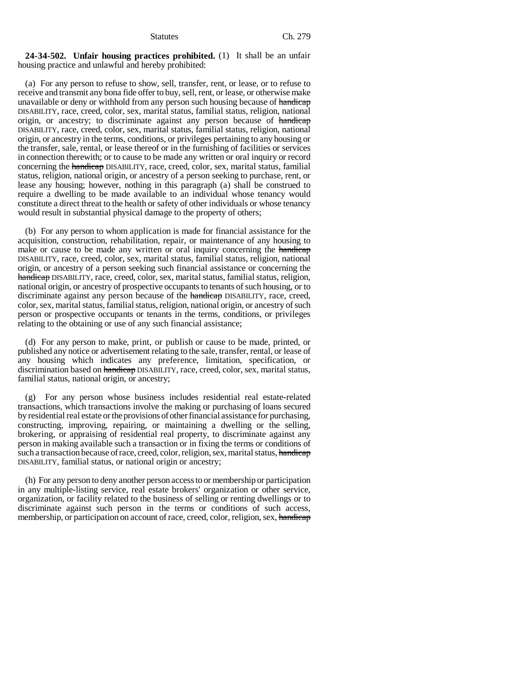### **24-34-502. Unfair housing practices prohibited.** (1) It shall be an unfair housing practice and unlawful and hereby prohibited:

(a) For any person to refuse to show, sell, transfer, rent, or lease, or to refuse to receive and transmit any bona fide offer to buy, sell, rent, or lease, or otherwise make unavailable or deny or withhold from any person such housing because of handicap DISABILITY, race, creed, color, sex, marital status, familial status, religion, national origin, or ancestry; to discriminate against any person because of handicap DISABILITY, race, creed, color, sex, marital status, familial status, religion, national origin, or ancestry in the terms, conditions, or privileges pertaining to any housing or the transfer, sale, rental, or lease thereof or in the furnishing of facilities or services in connection therewith; or to cause to be made any written or oral inquiry or record concerning the handicap DISABILITY, race, creed, color, sex, marital status, familial status, religion, national origin, or ancestry of a person seeking to purchase, rent, or lease any housing; however, nothing in this paragraph (a) shall be construed to require a dwelling to be made available to an individual whose tenancy would constitute a direct threat to the health or safety of other individuals or whose tenancy would result in substantial physical damage to the property of others;

(b) For any person to whom application is made for financial assistance for the acquisition, construction, rehabilitation, repair, or maintenance of any housing to make or cause to be made any written or oral inquiry concerning the handicap DISABILITY, race, creed, color, sex, marital status, familial status, religion, national origin, or ancestry of a person seeking such financial assistance or concerning the handicap DISABILITY, race, creed, color, sex, marital status, familial status, religion, national origin, or ancestry of prospective occupants to tenants of such housing, or to discriminate against any person because of the handicap DISABILITY, race, creed, color, sex, marital status, familial status, religion, national origin, or ancestry of such person or prospective occupants or tenants in the terms, conditions, or privileges relating to the obtaining or use of any such financial assistance;

(d) For any person to make, print, or publish or cause to be made, printed, or published any notice or advertisement relating to the sale, transfer, rental, or lease of any housing which indicates any preference, limitation, specification, or discrimination based on handicap DISABILITY, race, creed, color, sex, marital status, familial status, national origin, or ancestry;

(g) For any person whose business includes residential real estate-related transactions, which transactions involve the making or purchasing of loans secured by residential real estate or the provisions of other financial assistance for purchasing, constructing, improving, repairing, or maintaining a dwelling or the selling, brokering, or appraising of residential real property, to discriminate against any person in making available such a transaction or in fixing the terms or conditions of such a transaction because of race, creed, color, religion, sex, marital status, handicap DISABILITY, familial status, or national origin or ancestry;

(h) For any person to deny another person access to or membership or participation in any multiple-listing service, real estate brokers' organization or other service, organization, or facility related to the business of selling or renting dwellings or to discriminate against such person in the terms or conditions of such access, membership, or participation on account of race, creed, color, religion, sex, handicap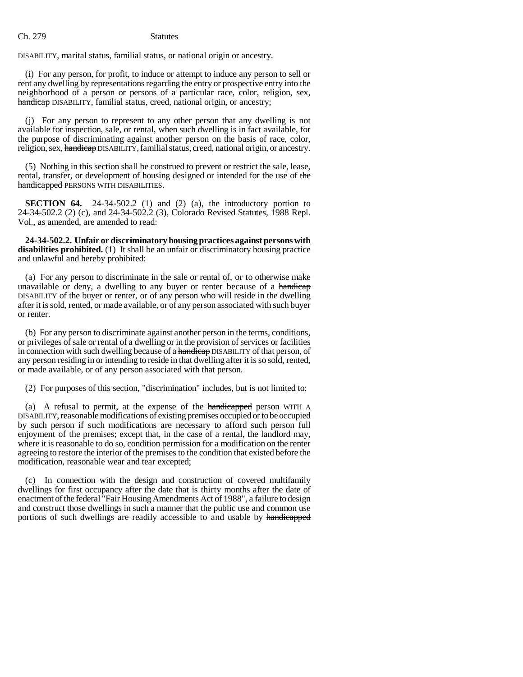DISABILITY, marital status, familial status, or national origin or ancestry.

(i) For any person, for profit, to induce or attempt to induce any person to sell or rent any dwelling by representations regarding the entry or prospective entry into the neighborhood of a person or persons of a particular race, color, religion, sex, handicap DISABILITY, familial status, creed, national origin, or ancestry;

(j) For any person to represent to any other person that any dwelling is not available for inspection, sale, or rental, when such dwelling is in fact available, for the purpose of discriminating against another person on the basis of race, color, religion, sex, handicap DISABILITY, familial status, creed, national origin, or ancestry.

(5) Nothing in this section shall be construed to prevent or restrict the sale, lease, rental, transfer, or development of housing designed or intended for the use of the handicapped PERSONS WITH DISABILITIES.

**SECTION 64.** 24-34-502.2 (1) and (2) (a), the introductory portion to 24-34-502.2 (2) (c), and 24-34-502.2 (3), Colorado Revised Statutes, 1988 Repl. Vol., as amended, are amended to read:

**24-34-502.2. Unfair or discriminatory housing practices against persons with disabilities prohibited.** (1) It shall be an unfair or discriminatory housing practice and unlawful and hereby prohibited:

(a) For any person to discriminate in the sale or rental of, or to otherwise make unavailable or deny, a dwelling to any buyer or renter because of a handicap DISABILITY of the buyer or renter, or of any person who will reside in the dwelling after it is sold, rented, or made available, or of any person associated with such buyer or renter.

(b) For any person to discriminate against another person in the terms, conditions, or privileges of sale or rental of a dwelling or in the provision of services or facilities in connection with such dwelling because of a handicap DISABILITY of that person, of any person residing in or intending to reside in that dwelling after it is so sold, rented, or made available, or of any person associated with that person.

(2) For purposes of this section, "discrimination" includes, but is not limited to:

(a) A refusal to permit, at the expense of the handicapped person WITH A DISABILITY, reasonable modifications of existing premises occupied or to be occupied by such person if such modifications are necessary to afford such person full enjoyment of the premises; except that, in the case of a rental, the landlord may, where it is reasonable to do so, condition permission for a modification on the renter agreeing to restore the interior of the premises to the condition that existed before the modification, reasonable wear and tear excepted;

(c) In connection with the design and construction of covered multifamily dwellings for first occupancy after the date that is thirty months after the date of enactment of the federal "Fair Housing Amendments Act of 1988", a failure to design and construct those dwellings in such a manner that the public use and common use portions of such dwellings are readily accessible to and usable by handicapped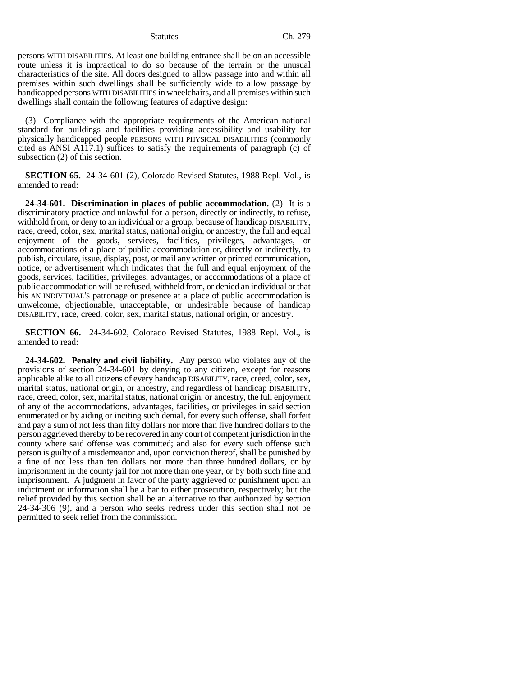persons WITH DISABILITIES. At least one building entrance shall be on an accessible route unless it is impractical to do so because of the terrain or the unusual characteristics of the site. All doors designed to allow passage into and within all premises within such dwellings shall be sufficiently wide to allow passage by handicapped persons WITH DISABILITIES in wheelchairs, and all premises within such dwellings shall contain the following features of adaptive design:

(3) Compliance with the appropriate requirements of the American national standard for buildings and facilities providing accessibility and usability for physically handicapped people PERSONS WITH PHYSICAL DISABILITIES (commonly cited as ANSI A117.1) suffices to satisfy the requirements of paragraph (c) of subsection (2) of this section.

**SECTION 65.** 24-34-601 (2), Colorado Revised Statutes, 1988 Repl. Vol., is amended to read:

**24-34-601. Discrimination in places of public accommodation.** (2) It is a discriminatory practice and unlawful for a person, directly or indirectly, to refuse, withhold from, or deny to an individual or a group, because of handicap DISABILITY, race, creed, color, sex, marital status, national origin, or ancestry, the full and equal enjoyment of the goods, services, facilities, privileges, advantages, or accommodations of a place of public accommodation or, directly or indirectly, to publish, circulate, issue, display, post, or mail any written or printed communication, notice, or advertisement which indicates that the full and equal enjoyment of the goods, services, facilities, privileges, advantages, or accommodations of a place of public accommodation will be refused, withheld from, or denied an individual or that his AN INDIVIDUAL'S patronage or presence at a place of public accommodation is unwelcome, objectionable, unacceptable, or undesirable because of handicap DISABILITY, race, creed, color, sex, marital status, national origin, or ancestry.

**SECTION 66.** 24-34-602, Colorado Revised Statutes, 1988 Repl. Vol., is amended to read:

**24-34-602. Penalty and civil liability.** Any person who violates any of the provisions of section 24-34-601 by denying to any citizen, except for reasons applicable alike to all citizens of every handicap DISABILITY, race, creed, color, sex, marital status, national origin, or ancestry, and regardless of handicap DISABILITY, race, creed, color, sex, marital status, national origin, or ancestry, the full enjoyment of any of the accommodations, advantages, facilities, or privileges in said section enumerated or by aiding or inciting such denial, for every such offense, shall forfeit and pay a sum of not less than fifty dollars nor more than five hundred dollars to the person aggrieved thereby to be recovered in any court of competent jurisdiction in the county where said offense was committed; and also for every such offense such person is guilty of a misdemeanor and, upon conviction thereof, shall be punished by a fine of not less than ten dollars nor more than three hundred dollars, or by imprisonment in the county jail for not more than one year, or by both such fine and imprisonment. A judgment in favor of the party aggrieved or punishment upon an indictment or information shall be a bar to either prosecution, respectively; but the relief provided by this section shall be an alternative to that authorized by section 24-34-306 (9), and a person who seeks redress under this section shall not be permitted to seek relief from the commission.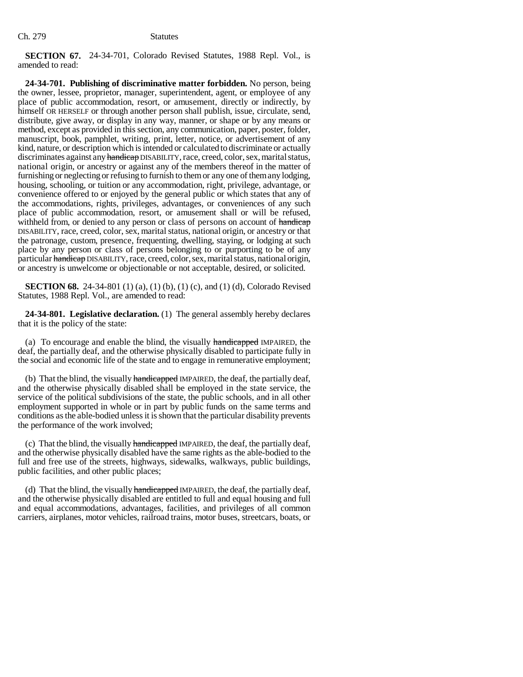**SECTION 67.** 24-34-701, Colorado Revised Statutes, 1988 Repl. Vol., is amended to read:

**24-34-701. Publishing of discriminative matter forbidden.** No person, being the owner, lessee, proprietor, manager, superintendent, agent, or employee of any place of public accommodation, resort, or amusement, directly or indirectly, by himself OR HERSELF or through another person shall publish, issue, circulate, send, distribute, give away, or display in any way, manner, or shape or by any means or method, except as provided in this section, any communication, paper, poster, folder, manuscript, book, pamphlet, writing, print, letter, notice, or advertisement of any kind, nature, or description which is intended or calculated to discriminate or actually discriminates against any handicap DISABILITY, race, creed, color, sex, marital status, national origin, or ancestry or against any of the members thereof in the matter of furnishing or neglecting or refusing to furnish to them or any one of them any lodging, housing, schooling, or tuition or any accommodation, right, privilege, advantage, or convenience offered to or enjoyed by the general public or which states that any of the accommodations, rights, privileges, advantages, or conveniences of any such place of public accommodation, resort, or amusement shall or will be refused, withheld from, or denied to any person or class of persons on account of handicap DISABILITY, race, creed, color, sex, marital status, national origin, or ancestry or that the patronage, custom, presence, frequenting, dwelling, staying, or lodging at such place by any person or class of persons belonging to or purporting to be of any particular handicap DISABILITY, race, creed, color, sex, marital status, national origin, or ancestry is unwelcome or objectionable or not acceptable, desired, or solicited.

**SECTION 68.** 24-34-801 (1) (a), (1) (b), (1) (c), and (1) (d), Colorado Revised Statutes, 1988 Repl. Vol., are amended to read:

**24-34-801. Legislative declaration.** (1) The general assembly hereby declares that it is the policy of the state:

(a) To encourage and enable the blind, the visually handicapped IMPAIRED, the deaf, the partially deaf, and the otherwise physically disabled to participate fully in the social and economic life of the state and to engage in remunerative employment;

(b) That the blind, the visually handicapped IMPAIRED, the deaf, the partially deaf, and the otherwise physically disabled shall be employed in the state service, the service of the political subdivisions of the state, the public schools, and in all other employment supported in whole or in part by public funds on the same terms and conditions as the able-bodied unless it is shown that the particular disability prevents the performance of the work involved;

(c) That the blind, the visually handicapped IMPAIRED, the deaf, the partially deaf, and the otherwise physically disabled have the same rights as the able-bodied to the full and free use of the streets, highways, sidewalks, walkways, public buildings, public facilities, and other public places;

(d) That the blind, the visually handicapped IMPAIRED, the deaf, the partially deaf, and the otherwise physically disabled are entitled to full and equal housing and full and equal accommodations, advantages, facilities, and privileges of all common carriers, airplanes, motor vehicles, railroad trains, motor buses, streetcars, boats, or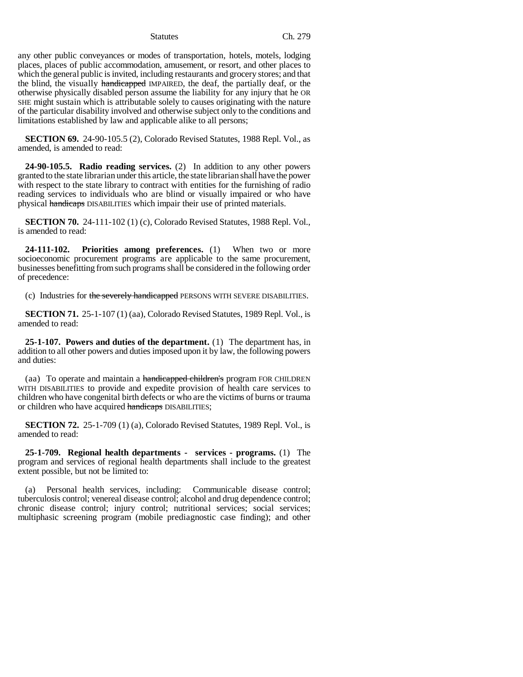any other public conveyances or modes of transportation, hotels, motels, lodging places, places of public accommodation, amusement, or resort, and other places to which the general public is invited, including restaurants and grocery stores; and that the blind, the visually handicapped IMPAIRED, the deaf, the partially deaf, or the otherwise physically disabled person assume the liability for any injury that he OR SHE might sustain which is attributable solely to causes originating with the nature of the particular disability involved and otherwise subject only to the conditions and limitations established by law and applicable alike to all persons;

**SECTION 69.** 24-90-105.5 (2), Colorado Revised Statutes, 1988 Repl. Vol., as amended, is amended to read:

**24-90-105.5. Radio reading services.** (2) In addition to any other powers granted to the state librarian under this article, the state librarian shall have the power with respect to the state library to contract with entities for the furnishing of radio reading services to individuals who are blind or visually impaired or who have physical handicaps DISABILITIES which impair their use of printed materials.

**SECTION 70.** 24-111-102 (1) (c), Colorado Revised Statutes, 1988 Repl. Vol., is amended to read:

**24-111-102. Priorities among preferences.** (1) When two or more socioeconomic procurement programs are applicable to the same procurement, businesses benefitting from such programs shall be considered in the following order of precedence:

(c) Industries for the severely handicapped PERSONS WITH SEVERE DISABILITIES.

**SECTION 71.** 25-1-107 (1) (aa), Colorado Revised Statutes, 1989 Repl. Vol., is amended to read:

**25-1-107. Powers and duties of the department.** (1) The department has, in addition to all other powers and duties imposed upon it by law, the following powers and duties:

(aa) To operate and maintain a handicapped children's program FOR CHILDREN WITH DISABILITIES to provide and expedite provision of health care services to children who have congenital birth defects or who are the victims of burns or trauma or children who have acquired handicaps DISABILITIES;

**SECTION 72.** 25-1-709 (1) (a), Colorado Revised Statutes, 1989 Repl. Vol., is amended to read:

**25-1-709. Regional health departments - services - programs.** (1) The program and services of regional health departments shall include to the greatest extent possible, but not be limited to:

(a) Personal health services, including: Communicable disease control; tuberculosis control; venereal disease control; alcohol and drug dependence control; chronic disease control; injury control; nutritional services; social services; multiphasic screening program (mobile prediagnostic case finding); and other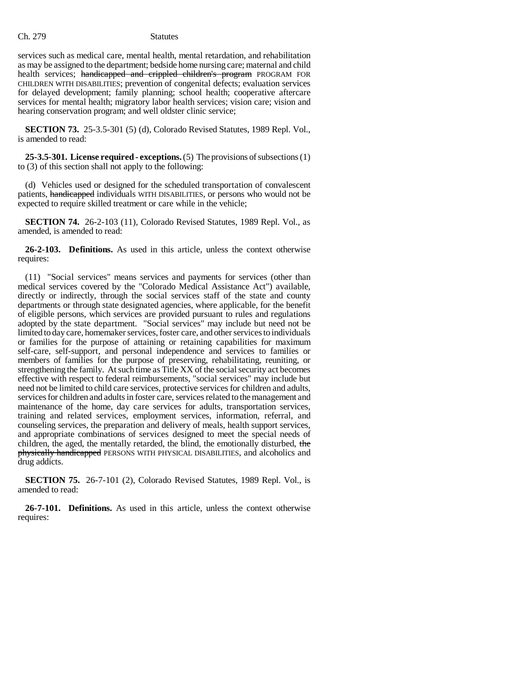services such as medical care, mental health, mental retardation, and rehabilitation as may be assigned to the department; bedside home nursing care; maternal and child health services; handicapped and crippled children's program PROGRAM FOR CHILDREN WITH DISABILITIES; prevention of congenital defects; evaluation services for delayed development; family planning; school health; cooperative aftercare services for mental health; migratory labor health services; vision care; vision and hearing conservation program; and well oldster clinic service;

**SECTION 73.** 25-3.5-301 (5) (d), Colorado Revised Statutes, 1989 Repl. Vol., is amended to read:

**25-3.5-301. License required - exceptions.** (5) The provisions of subsections (1) to (3) of this section shall not apply to the following:

(d) Vehicles used or designed for the scheduled transportation of convalescent patients, handicapped individuals WITH DISABILITIES, or persons who would not be expected to require skilled treatment or care while in the vehicle;

**SECTION 74.** 26-2-103 (11), Colorado Revised Statutes, 1989 Repl. Vol., as amended, is amended to read:

**26-2-103. Definitions.** As used in this article, unless the context otherwise requires:

(11) "Social services" means services and payments for services (other than medical services covered by the "Colorado Medical Assistance Act") available, directly or indirectly, through the social services staff of the state and county departments or through state designated agencies, where applicable, for the benefit of eligible persons, which services are provided pursuant to rules and regulations adopted by the state department. "Social services" may include but need not be limited to day care, homemaker services, foster care, and other services to individuals or families for the purpose of attaining or retaining capabilities for maximum self-care, self-support, and personal independence and services to families or members of families for the purpose of preserving, rehabilitating, reuniting, or strengthening the family. At such time as Title XX of the social security act becomes effective with respect to federal reimbursements, "social services" may include but need not be limited to child care services, protective services for children and adults, services for children and adults in foster care, services related to the management and maintenance of the home, day care services for adults, transportation services, training and related services, employment services, information, referral, and counseling services, the preparation and delivery of meals, health support services, and appropriate combinations of services designed to meet the special needs of children, the aged, the mentally retarded, the blind, the emotionally disturbed, the physically handicapped PERSONS WITH PHYSICAL DISABILITIES, and alcoholics and drug addicts.

**SECTION 75.** 26-7-101 (2), Colorado Revised Statutes, 1989 Repl. Vol., is amended to read:

**26-7-101. Definitions.** As used in this article, unless the context otherwise requires: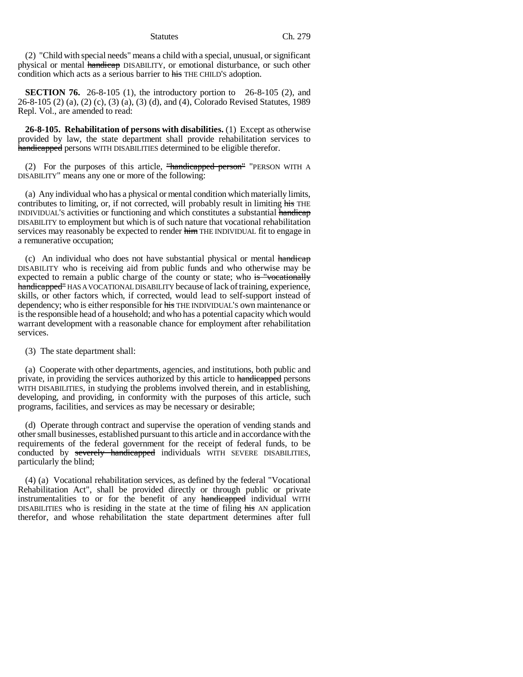(2) "Child with special needs" means a child with a special, unusual, or significant physical or mental handicap DISABILITY, or emotional disturbance, or such other condition which acts as a serious barrier to his THE CHILD'S adoption.

**SECTION 76.** 26-8-105 (1), the introductory portion to 26-8-105 (2), and 26-8-105 (2) (a), (2) (c), (3) (a), (3) (d), and (4), Colorado Revised Statutes, 1989 Repl. Vol., are amended to read:

**26-8-105. Rehabilitation of persons with disabilities.** (1) Except as otherwise provided by law, the state department shall provide rehabilitation services to handicapped persons WITH DISABILITIES determined to be eligible therefor.

(2) For the purposes of this article,  $\frac{m}{2}$  mandicapped person  $\frac{m}{2}$  "PERSON WITH A DISABILITY" means any one or more of the following:

(a) Any individual who has a physical or mental condition which materially limits, contributes to limiting, or, if not corrected, will probably result in limiting his THE INDIVIDUAL'S activities or functioning and which constitutes a substantial handicap DISABILITY to employment but which is of such nature that vocational rehabilitation services may reasonably be expected to render him THE INDIVIDUAL fit to engage in a remunerative occupation;

(c) An individual who does not have substantial physical or mental handicap DISABILITY who is receiving aid from public funds and who otherwise may be expected to remain a public charge of the county or state; who is "vocationally handicapped" HAS A VOCATIONAL DISABILITY because of lack of training, experience, skills, or other factors which, if corrected, would lead to self-support instead of dependency; who is either responsible for his THE INDIVIDUAL'S own maintenance or is the responsible head of a household; and who has a potential capacity which would warrant development with a reasonable chance for employment after rehabilitation services.

(3) The state department shall:

(a) Cooperate with other departments, agencies, and institutions, both public and private, in providing the services authorized by this article to handicapped persons WITH DISABILITIES, in studying the problems involved therein, and in establishing, developing, and providing, in conformity with the purposes of this article, such programs, facilities, and services as may be necessary or desirable;

(d) Operate through contract and supervise the operation of vending stands and other small businesses, established pursuant to this article and in accordance with the requirements of the federal government for the receipt of federal funds, to be conducted by severely handicapped individuals WITH SEVERE DISABILITIES, particularly the blind;

(4) (a) Vocational rehabilitation services, as defined by the federal "Vocational Rehabilitation Act", shall be provided directly or through public or private instrumentalities to or for the benefit of any handicapped individual WITH DISABILITIES who is residing in the state at the time of filing his AN application therefor, and whose rehabilitation the state department determines after full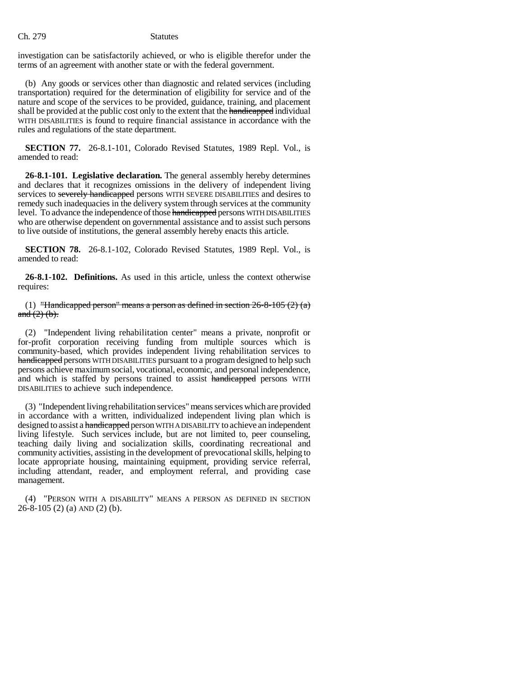investigation can be satisfactorily achieved, or who is eligible therefor under the terms of an agreement with another state or with the federal government.

(b) Any goods or services other than diagnostic and related services (including transportation) required for the determination of eligibility for service and of the nature and scope of the services to be provided, guidance, training, and placement shall be provided at the public cost only to the extent that the handicapped individual WITH DISABILITIES is found to require financial assistance in accordance with the rules and regulations of the state department.

**SECTION 77.** 26-8.1-101, Colorado Revised Statutes, 1989 Repl. Vol., is amended to read:

**26-8.1-101. Legislative declaration.** The general assembly hereby determines and declares that it recognizes omissions in the delivery of independent living services to severely handicapped persons WITH SEVERE DISABILITIES and desires to remedy such inadequacies in the delivery system through services at the community level. To advance the independence of those handicapped persons WITH DISABILITIES who are otherwise dependent on governmental assistance and to assist such persons to live outside of institutions, the general assembly hereby enacts this article.

**SECTION 78.** 26-8.1-102, Colorado Revised Statutes, 1989 Repl. Vol., is amended to read:

**26-8.1-102. Definitions.** As used in this article, unless the context otherwise requires:

(1) "Handicapped person" means a person as defined in section  $26-8-105$  (2) (a) and  $(2)$   $(b)$ .

(2) "Independent living rehabilitation center" means a private, nonprofit or for-profit corporation receiving funding from multiple sources which is community-based, which provides independent living rehabilitation services to handicapped persons WITH DISABILITIES pursuant to a program designed to help such persons achieve maximum social, vocational, economic, and personal independence, and which is staffed by persons trained to assist handicapped persons WITH DISABILITIES to achieve such independence.

(3) "Independent living rehabilitation services" means services which are provided in accordance with a written, individualized independent living plan which is designed to assist a handicapped person WITH A DISABILITY to achieve an independent living lifestyle. Such services include, but are not limited to, peer counseling, teaching daily living and socialization skills, coordinating recreational and community activities, assisting in the development of prevocational skills, helping to locate appropriate housing, maintaining equipment, providing service referral, including attendant, reader, and employment referral, and providing case management.

(4) "PERSON WITH A DISABILITY" MEANS A PERSON AS DEFINED IN SECTION 26-8-105 (2) (a) AND (2) (b).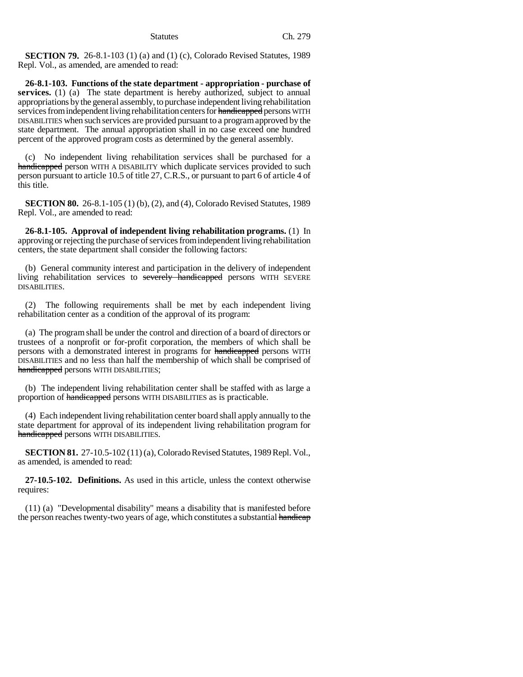**SECTION 79.** 26-8.1-103 (1) (a) and (1) (c), Colorado Revised Statutes, 1989 Repl. Vol., as amended, are amended to read:

**26-8.1-103. Functions of the state department - appropriation - purchase of** services. (1) (a) The state department is hereby authorized, subject to annual appropriations by the general assembly, to purchase independent living rehabilitation services from independent living rehabilitation centers for handicapped persons WITH DISABILITIES when such services are provided pursuant to a program approved by the state department. The annual appropriation shall in no case exceed one hundred percent of the approved program costs as determined by the general assembly.

(c) No independent living rehabilitation services shall be purchased for a handicapped person WITH A DISABILITY which duplicate services provided to such person pursuant to article 10.5 of title 27, C.R.S., or pursuant to part 6 of article 4 of this title.

**SECTION 80.** 26-8.1-105 (1) (b), (2), and (4), Colorado Revised Statutes, 1989 Repl. Vol., are amended to read:

**26-8.1-105. Approval of independent living rehabilitation programs.** (1) In approving or rejecting the purchase of services from independent living rehabilitation centers, the state department shall consider the following factors:

(b) General community interest and participation in the delivery of independent living rehabilitation services to severely handicapped persons WITH SEVERE DISABILITIES.

(2) The following requirements shall be met by each independent living rehabilitation center as a condition of the approval of its program:

(a) The program shall be under the control and direction of a board of directors or trustees of a nonprofit or for-profit corporation, the members of which shall be persons with a demonstrated interest in programs for handicapped persons WITH DISABILITIES and no less than half the membership of which shall be comprised of handicapped persons WITH DISABILITIES;

(b) The independent living rehabilitation center shall be staffed with as large a proportion of handicapped persons WITH DISABILITIES as is practicable.

(4) Each independent living rehabilitation center board shall apply annually to the state department for approval of its independent living rehabilitation program for handicapped persons WITH DISABILITIES.

**SECTION 81.** 27-10.5-102 (11) (a), Colorado Revised Statutes, 1989 Repl. Vol., as amended, is amended to read:

**27-10.5-102. Definitions.** As used in this article, unless the context otherwise requires:

(11) (a) "Developmental disability" means a disability that is manifested before the person reaches twenty-two years of age, which constitutes a substantial handicap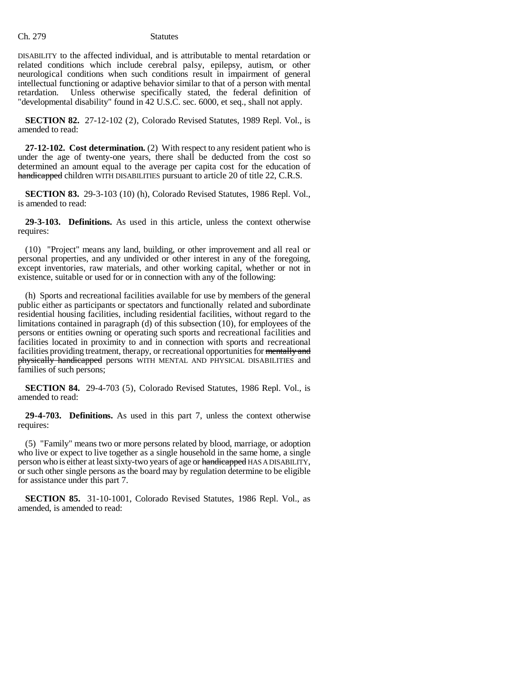DISABILITY to the affected individual, and is attributable to mental retardation or related conditions which include cerebral palsy, epilepsy, autism, or other neurological conditions when such conditions result in impairment of general intellectual functioning or adaptive behavior similar to that of a person with mental retardation. Unless otherwise specifically stated, the federal definition of "developmental disability" found in 42 U.S.C. sec. 6000, et seq., shall not apply.

**SECTION 82.** 27-12-102 (2), Colorado Revised Statutes, 1989 Repl. Vol., is amended to read:

**27-12-102. Cost determination.** (2) With respect to any resident patient who is under the age of twenty-one years, there shall be deducted from the cost so determined an amount equal to the average per capita cost for the education of handicapped children WITH DISABILITIES pursuant to article 20 of title 22, C.R.S.

**SECTION 83.** 29-3-103 (10) (h), Colorado Revised Statutes, 1986 Repl. Vol., is amended to read:

**29-3-103. Definitions.** As used in this article, unless the context otherwise requires:

(10) "Project" means any land, building, or other improvement and all real or personal properties, and any undivided or other interest in any of the foregoing, except inventories, raw materials, and other working capital, whether or not in existence, suitable or used for or in connection with any of the following:

(h) Sports and recreational facilities available for use by members of the general public either as participants or spectators and functionally related and subordinate residential housing facilities, including residential facilities, without regard to the limitations contained in paragraph (d) of this subsection (10), for employees of the persons or entities owning or operating such sports and recreational facilities and facilities located in proximity to and in connection with sports and recreational facilities providing treatment, therapy, or recreational opportunities for mentally and physically handicapped persons WITH MENTAL AND PHYSICAL DISABILITIES and families of such persons;

**SECTION 84.** 29-4-703 (5), Colorado Revised Statutes, 1986 Repl. Vol., is amended to read:

**29-4-703. Definitions.** As used in this part 7, unless the context otherwise requires:

(5) "Family" means two or more persons related by blood, marriage, or adoption who live or expect to live together as a single household in the same home, a single person who is either at least sixty-two years of age or handicapped HAS A DISABILITY, or such other single persons as the board may by regulation determine to be eligible for assistance under this part 7.

**SECTION 85.** 31-10-1001, Colorado Revised Statutes, 1986 Repl. Vol., as amended, is amended to read: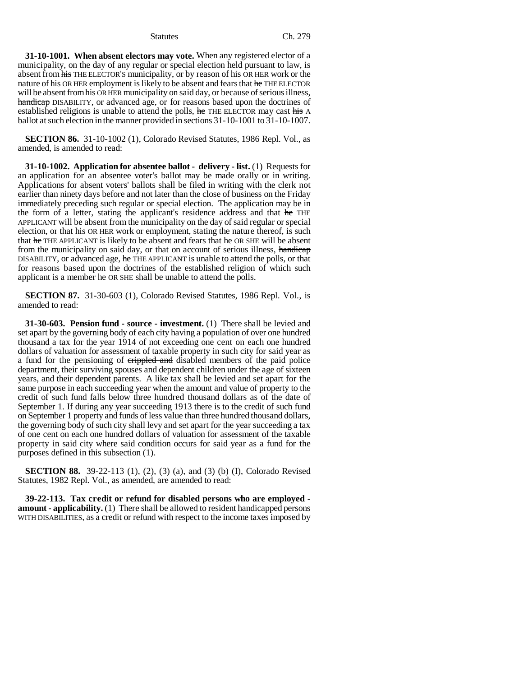**31-10-1001. When absent electors may vote.** When any registered elector of a municipality, on the day of any regular or special election held pursuant to law, is absent from his THE ELECTOR'S municipality, or by reason of his OR HER work or the nature of his OR HER employment is likely to be absent and fears that he THE ELECTOR will be absent from his OR HER municipality on said day, or because of serious illness, handicap DISABILITY, or advanced age, or for reasons based upon the doctrines of established religions is unable to attend the polls, he THE ELECTOR may cast his A ballot at such election in the manner provided in sections 31-10-1001 to 31-10-1007.

**SECTION 86.** 31-10-1002 (1), Colorado Revised Statutes, 1986 Repl. Vol., as amended, is amended to read:

**31-10-1002. Application for absentee ballot - delivery - list.** (1) Requests for an application for an absentee voter's ballot may be made orally or in writing. Applications for absent voters' ballots shall be filed in writing with the clerk not earlier than ninety days before and not later than the close of business on the Friday immediately preceding such regular or special election. The application may be in the form of a letter, stating the applicant's residence address and that he THE APPLICANT will be absent from the municipality on the day of said regular or special election, or that his OR HER work or employment, stating the nature thereof, is such that he THE APPLICANT is likely to be absent and fears that he OR SHE will be absent from the municipality on said day, or that on account of serious illness, handicap DISABILITY, or advanced age, he THE APPLICANT is unable to attend the polls, or that for reasons based upon the doctrines of the established religion of which such applicant is a member he OR SHE shall be unable to attend the polls.

**SECTION 87.** 31-30-603 (1), Colorado Revised Statutes, 1986 Repl. Vol., is amended to read:

**31-30-603. Pension fund - source - investment.** (1) There shall be levied and set apart by the governing body of each city having a population of over one hundred thousand a tax for the year 1914 of not exceeding one cent on each one hundred dollars of valuation for assessment of taxable property in such city for said year as a fund for the pensioning of crippled and disabled members of the paid police department, their surviving spouses and dependent children under the age of sixteen years, and their dependent parents. A like tax shall be levied and set apart for the same purpose in each succeeding year when the amount and value of property to the credit of such fund falls below three hundred thousand dollars as of the date of September 1. If during any year succeeding 1913 there is to the credit of such fund on September 1 property and funds of less value than three hundred thousand dollars, the governing body of such city shall levy and set apart for the year succeeding a tax of one cent on each one hundred dollars of valuation for assessment of the taxable property in said city where said condition occurs for said year as a fund for the purposes defined in this subsection (1).

**SECTION 88.** 39-22-113 (1), (2), (3) (a), and (3) (b) (I), Colorado Revised Statutes, 1982 Repl. Vol., as amended, are amended to read:

**39-22-113. Tax credit or refund for disabled persons who are employed amount - applicability.** (1) There shall be allowed to resident handicapped persons WITH DISABILITIES, as a credit or refund with respect to the income taxes imposed by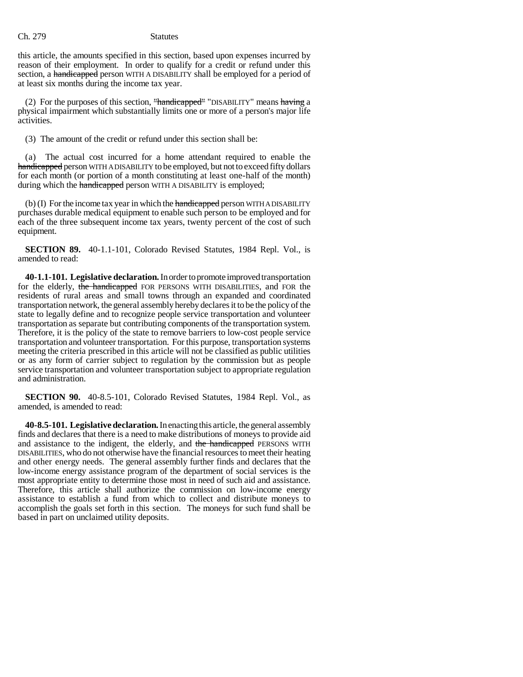this article, the amounts specified in this section, based upon expenses incurred by reason of their employment. In order to qualify for a credit or refund under this section, a handicapped person WITH A DISABILITY shall be employed for a period of at least six months during the income tax year.

(2) For the purposes of this section,  $H$ andicapped<sup> $H$ </sup> "DISABILITY" means having a physical impairment which substantially limits one or more of a person's major life activities.

(3) The amount of the credit or refund under this section shall be:

(a) The actual cost incurred for a home attendant required to enable the handicapped person WITH A DISABILITY to be employed, but not to exceed fifty dollars for each month (or portion of a month constituting at least one-half of the month) during which the handicapped person WITH A DISABILITY is employed;

(b) (I) For the income tax year in which the handicapped person WITH A DISABILITY purchases durable medical equipment to enable such person to be employed and for each of the three subsequent income tax years, twenty percent of the cost of such equipment.

**SECTION 89.** 40-1.1-101, Colorado Revised Statutes, 1984 Repl. Vol., is amended to read:

**40-1.1-101. Legislative declaration.** In order to promote improved transportation for the elderly, the handicapped FOR PERSONS WITH DISABILITIES, and FOR the residents of rural areas and small towns through an expanded and coordinated transportation network, the general assembly hereby declares it to be the policy of the state to legally define and to recognize people service transportation and volunteer transportation as separate but contributing components of the transportation system. Therefore, it is the policy of the state to remove barriers to low-cost people service transportation and volunteer transportation. For this purpose, transportation systems meeting the criteria prescribed in this article will not be classified as public utilities or as any form of carrier subject to regulation by the commission but as people service transportation and volunteer transportation subject to appropriate regulation and administration.

**SECTION 90.** 40-8.5-101, Colorado Revised Statutes, 1984 Repl. Vol., as amended, is amended to read:

**40-8.5-101. Legislative declaration.** In enacting this article, the general assembly finds and declares that there is a need to make distributions of moneys to provide aid and assistance to the indigent, the elderly, and the handicapped PERSONS WITH DISABILITIES, who do not otherwise have the financial resources to meet their heating and other energy needs. The general assembly further finds and declares that the low-income energy assistance program of the department of social services is the most appropriate entity to determine those most in need of such aid and assistance. Therefore, this article shall authorize the commission on low-income energy assistance to establish a fund from which to collect and distribute moneys to accomplish the goals set forth in this section. The moneys for such fund shall be based in part on unclaimed utility deposits.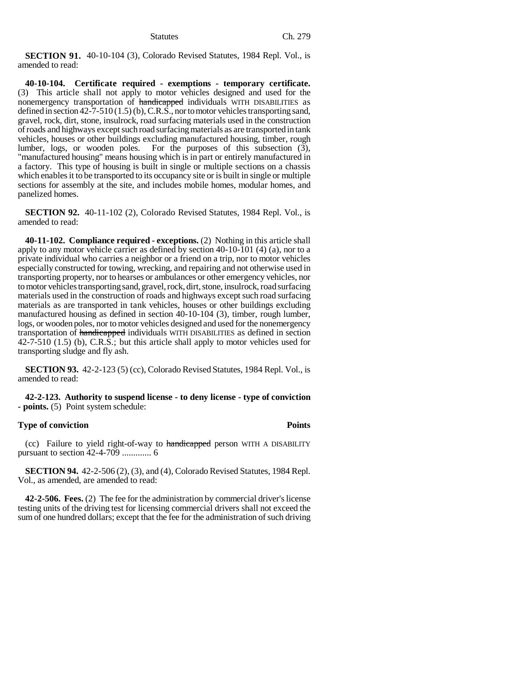**SECTION 91.** 40-10-104 (3), Colorado Revised Statutes, 1984 Repl. Vol., is amended to read:

**40-10-104. Certificate required - exemptions - temporary certificate.** (3) This article shall not apply to motor vehicles designed and used for the nonemergency transportation of handicapped individuals WITH DISABILITIES as defined in section 42-7-510 (1.5) (b), C.R.S., nor to motor vehicles transporting sand, gravel, rock, dirt, stone, insulrock, road surfacing materials used in the construction of roads and highways except such road surfacing materials as are transported in tank vehicles, houses or other buildings excluding manufactured housing, timber, rough lumber, logs, or wooden poles. For the purposes of this subsection (3), "manufactured housing" means housing which is in part or entirely manufactured in a factory. This type of housing is built in single or multiple sections on a chassis which enables it to be transported to its occupancy site or is built in single or multiple sections for assembly at the site, and includes mobile homes, modular homes, and panelized homes.

**SECTION 92.** 40-11-102 (2), Colorado Revised Statutes, 1984 Repl. Vol., is amended to read:

**40-11-102. Compliance required - exceptions.** (2) Nothing in this article shall apply to any motor vehicle carrier as defined by section 40-10-101 (4) (a), nor to a private individual who carries a neighbor or a friend on a trip, nor to motor vehicles especially constructed for towing, wrecking, and repairing and not otherwise used in transporting property, nor to hearses or ambulances or other emergency vehicles, nor to motor vehicles transporting sand, gravel, rock, dirt, stone, insulrock, road surfacing materials used in the construction of roads and highways except such road surfacing materials as are transported in tank vehicles, houses or other buildings excluding manufactured housing as defined in section 40-10-104 (3), timber, rough lumber, logs, or wooden poles, nor to motor vehicles designed and used for the nonemergency transportation of handicapped individuals WITH DISABILITIES as defined in section 42-7-510 (1.5) (b), C.R.S.; but this article shall apply to motor vehicles used for transporting sludge and fly ash.

**SECTION 93.** 42-2-123 (5) (cc), Colorado Revised Statutes, 1984 Repl. Vol., is amended to read:

**42-2-123. Authority to suspend license - to deny license - type of conviction - points.** (5) Point system schedule:

### **Type of conviction Points**

(cc) Failure to yield right-of-way to handicapped person WITH A DISABILITY pursuant to section 42-4-709 ............. 6

**SECTION 94.** 42-2-506 (2), (3), and (4), Colorado Revised Statutes, 1984 Repl. Vol., as amended, are amended to read:

**42-2-506. Fees.** (2) The fee for the administration by commercial driver's license testing units of the driving test for licensing commercial drivers shall not exceed the sum of one hundred dollars; except that the fee for the administration of such driving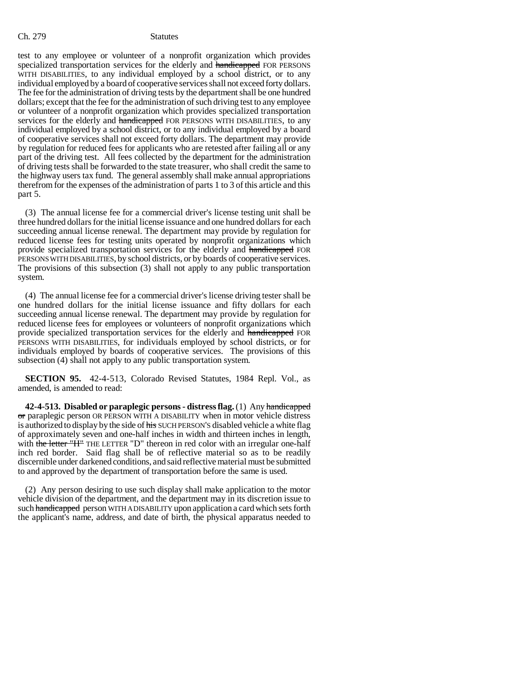test to any employee or volunteer of a nonprofit organization which provides specialized transportation services for the elderly and handicapped FOR PERSONS WITH DISABILITIES, to any individual employed by a school district, or to any individual employed by a board of cooperative services shall not exceed forty dollars. The fee for the administration of driving tests by the department shall be one hundred dollars; except that the fee for the administration of such driving test to any employee or volunteer of a nonprofit organization which provides specialized transportation services for the elderly and handicapped FOR PERSONS WITH DISABILITIES, to any individual employed by a school district, or to any individual employed by a board of cooperative services shall not exceed forty dollars. The department may provide by regulation for reduced fees for applicants who are retested after failing all or any part of the driving test. All fees collected by the department for the administration of driving tests shall be forwarded to the state treasurer, who shall credit the same to the highway users tax fund. The general assembly shall make annual appropriations therefrom for the expenses of the administration of parts 1 to 3 of this article and this part 5.

(3) The annual license fee for a commercial driver's license testing unit shall be three hundred dollars for the initial license issuance and one hundred dollars for each succeeding annual license renewal. The department may provide by regulation for reduced license fees for testing units operated by nonprofit organizations which provide specialized transportation services for the elderly and handicapped FOR PERSONS WITH DISABILITIES, by school districts, or by boards of cooperative services. The provisions of this subsection (3) shall not apply to any public transportation system.

(4) The annual license fee for a commercial driver's license driving tester shall be one hundred dollars for the initial license issuance and fifty dollars for each succeeding annual license renewal. The department may provide by regulation for reduced license fees for employees or volunteers of nonprofit organizations which provide specialized transportation services for the elderly and handicapped FOR PERSONS WITH DISABILITIES, for individuals employed by school districts, or for individuals employed by boards of cooperative services. The provisions of this subsection (4) shall not apply to any public transportation system.

**SECTION 95.** 42-4-513, Colorado Revised Statutes, 1984 Repl. Vol., as amended, is amended to read:

**42-4-513. Disabled or paraplegic persons - distress flag.** (1) Any handicapped or paraplegic person OR PERSON WITH A DISABILITY when in motor vehicle distress is authorized to display by the side of his SUCH PERSON's disabled vehicle a white flag of approximately seven and one-half inches in width and thirteen inches in length, with the letter "H" THE LETTER "D" thereon in red color with an irregular one-half inch red border. Said flag shall be of reflective material so as to be readily discernible under darkened conditions, and said reflective material must be submitted to and approved by the department of transportation before the same is used.

(2) Any person desiring to use such display shall make application to the motor vehicle division of the department, and the department may in its discretion issue to such handicapped person WITH A DISABILITY upon application a card which sets forth the applicant's name, address, and date of birth, the physical apparatus needed to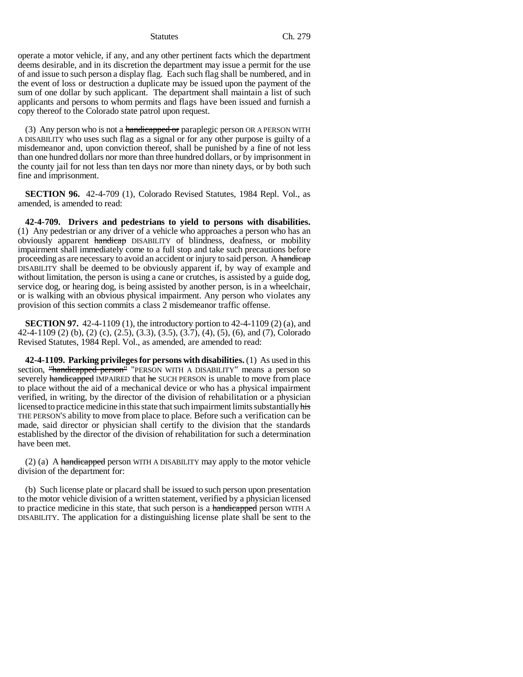operate a motor vehicle, if any, and any other pertinent facts which the department deems desirable, and in its discretion the department may issue a permit for the use of and issue to such person a display flag. Each such flag shall be numbered, and in the event of loss or destruction a duplicate may be issued upon the payment of the sum of one dollar by such applicant. The department shall maintain a list of such applicants and persons to whom permits and flags have been issued and furnish a copy thereof to the Colorado state patrol upon request.

(3) Any person who is not a handicapped or paraplegic person OR A PERSON WITH A DISABILITY who uses such flag as a signal or for any other purpose is guilty of a misdemeanor and, upon conviction thereof, shall be punished by a fine of not less than one hundred dollars nor more than three hundred dollars, or by imprisonment in the county jail for not less than ten days nor more than ninety days, or by both such fine and imprisonment.

**SECTION 96.** 42-4-709 (1), Colorado Revised Statutes, 1984 Repl. Vol., as amended, is amended to read:

**42-4-709. Drivers and pedestrians to yield to persons with disabilities.** (1) Any pedestrian or any driver of a vehicle who approaches a person who has an obviously apparent handicap DISABILITY of blindness, deafness, or mobility impairment shall immediately come to a full stop and take such precautions before proceeding as are necessary to avoid an accident or injury to said person. A handicap DISABILITY shall be deemed to be obviously apparent if, by way of example and without limitation, the person is using a cane or crutches, is assisted by a guide dog, service dog, or hearing dog, is being assisted by another person, is in a wheelchair, or is walking with an obvious physical impairment. Any person who violates any provision of this section commits a class 2 misdemeanor traffic offense.

**SECTION 97.** 42-4-1109 (1), the introductory portion to 42-4-1109 (2) (a), and 42-4-1109 (2) (b), (2) (c), (2.5), (3.3), (3.5), (3.7), (4), (5), (6), and (7), Colorado Revised Statutes, 1984 Repl. Vol., as amended, are amended to read:

**42-4-1109. Parking privileges for persons with disabilities.** (1) As used in this section, "handicapped person" "PERSON WITH A DISABILITY" means a person so severely handicapped IMPAIRED that he SUCH PERSON is unable to move from place to place without the aid of a mechanical device or who has a physical impairment verified, in writing, by the director of the division of rehabilitation or a physician licensed to practice medicine in this state that such impairment limits substantially his THE PERSON'S ability to move from place to place. Before such a verification can be made, said director or physician shall certify to the division that the standards established by the director of the division of rehabilitation for such a determination have been met.

 $(2)$  (a) A handicapped person WITH A DISABILITY may apply to the motor vehicle division of the department for:

(b) Such license plate or placard shall be issued to such person upon presentation to the motor vehicle division of a written statement, verified by a physician licensed to practice medicine in this state, that such person is a handicapped person WITH A DISABILITY. The application for a distinguishing license plate shall be sent to the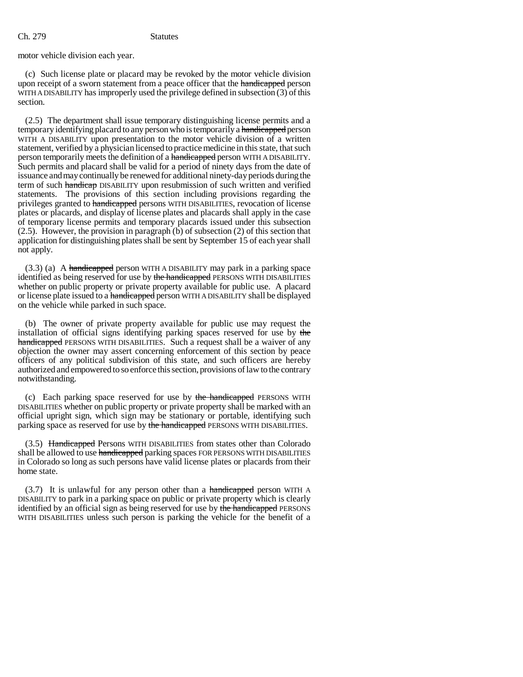motor vehicle division each year.

(c) Such license plate or placard may be revoked by the motor vehicle division upon receipt of a sworn statement from a peace officer that the handicapped person WITH A DISABILITY has improperly used the privilege defined in subsection (3) of this section.

(2.5) The department shall issue temporary distinguishing license permits and a temporary identifying placard to any person who is temporarily a handicapped person WITH A DISABILITY upon presentation to the motor vehicle division of a written statement, verified by a physician licensed to practice medicine in this state, that such person temporarily meets the definition of a handicapped person WITH A DISABILITY. Such permits and placard shall be valid for a period of ninety days from the date of issuance and may continually be renewed for additional ninety-day periods during the term of such handicap DISABILITY upon resubmission of such written and verified statements. The provisions of this section including provisions regarding the privileges granted to handicapped persons WITH DISABILITIES, revocation of license plates or placards, and display of license plates and placards shall apply in the case of temporary license permits and temporary placards issued under this subsection (2.5). However, the provision in paragraph (b) of subsection (2) of this section that application for distinguishing plates shall be sent by September 15 of each year shall not apply.

 $(3.3)$  (a) A handicapped person WITH A DISABILITY may park in a parking space identified as being reserved for use by the handicapped PERSONS WITH DISABILITIES whether on public property or private property available for public use. A placard or license plate issued to a handicapped person WITH A DISABILITY shall be displayed on the vehicle while parked in such space.

(b) The owner of private property available for public use may request the installation of official signs identifying parking spaces reserved for use by the handicapped PERSONS WITH DISABILITIES. Such a request shall be a waiver of any objection the owner may assert concerning enforcement of this section by peace officers of any political subdivision of this state, and such officers are hereby authorized and empowered to so enforce this section, provisions of law to the contrary notwithstanding.

(c) Each parking space reserved for use by the handicapped PERSONS WITH DISABILITIES whether on public property or private property shall be marked with an official upright sign, which sign may be stationary or portable, identifying such parking space as reserved for use by the handicapped PERSONS WITH DISABILITIES.

(3.5) Handicapped Persons WITH DISABILITIES from states other than Colorado shall be allowed to use handicapped parking spaces FOR PERSONS WITH DISABILITIES in Colorado so long as such persons have valid license plates or placards from their home state.

(3.7) It is unlawful for any person other than a handicapped person WITH A DISABILITY to park in a parking space on public or private property which is clearly identified by an official sign as being reserved for use by the handicapped PERSONS WITH DISABILITIES unless such person is parking the vehicle for the benefit of a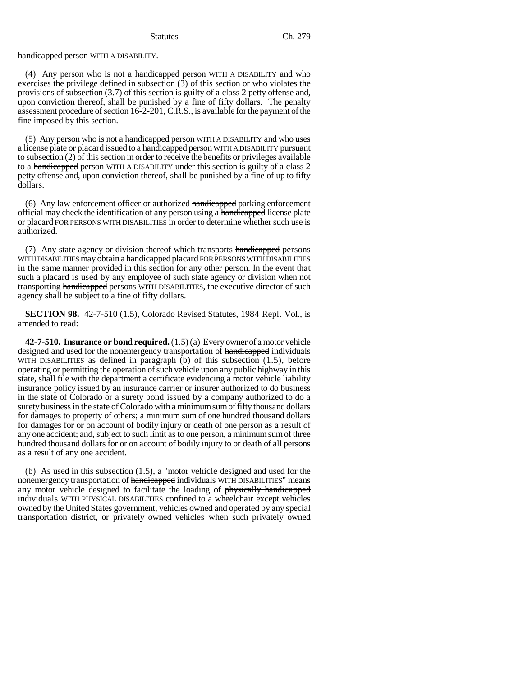### handicapped person WITH A DISABILITY.

(4) Any person who is not a handicapped person WITH A DISABILITY and who exercises the privilege defined in subsection  $(3)$  of this section or who violates the provisions of subsection (3.7) of this section is guilty of a class 2 petty offense and, upon conviction thereof, shall be punished by a fine of fifty dollars. The penalty assessment procedure of section 16-2-201, C.R.S., is available for the payment of the fine imposed by this section.

(5) Any person who is not a handicapped person WITH A DISABILITY and who uses a license plate or placard issued to a handicapped person WITH A DISABILITY pursuant to subsection (2) of this section in order to receive the benefits or privileges available to a handicapped person WITH A DISABILITY under this section is guilty of a class 2 petty offense and, upon conviction thereof, shall be punished by a fine of up to fifty dollars.

(6) Any law enforcement officer or authorized handicapped parking enforcement official may check the identification of any person using a handicapped license plate or placard FOR PERSONS WITH DISABILITIES in order to determine whether such use is authorized.

(7) Any state agency or division thereof which transports handicapped persons WITH DISABILITIES may obtain a handicapped placard FOR PERSONS WITH DISABILITIES in the same manner provided in this section for any other person. In the event that such a placard is used by any employee of such state agency or division when not transporting handicapped persons WITH DISABILITIES, the executive director of such agency shall be subject to a fine of fifty dollars.

**SECTION 98.** 42-7-510 (1.5), Colorado Revised Statutes, 1984 Repl. Vol., is amended to read:

**42-7-510. Insurance or bond required.** (1.5) (a) Every owner of a motor vehicle designed and used for the nonemergency transportation of handicapped individuals WITH DISABILITIES as defined in paragraph  $(b)$  of this subsection  $(1.5)$ , before operating or permitting the operation of such vehicle upon any public highway in this state, shall file with the department a certificate evidencing a motor vehicle liability insurance policy issued by an insurance carrier or insurer authorized to do business in the state of Colorado or a surety bond issued by a company authorized to do a surety business in the state of Colorado with a minimum sum of fifty thousand dollars for damages to property of others; a minimum sum of one hundred thousand dollars for damages for or on account of bodily injury or death of one person as a result of any one accident; and, subject to such limit as to one person, a minimum sum of three hundred thousand dollars for or on account of bodily injury to or death of all persons as a result of any one accident.

(b) As used in this subsection (1.5), a "motor vehicle designed and used for the nonemergency transportation of handicapped individuals WITH DISABILITIES" means any motor vehicle designed to facilitate the loading of physically handicapped individuals WITH PHYSICAL DISABILITIES confined to a wheelchair except vehicles owned by the United States government, vehicles owned and operated by any special transportation district, or privately owned vehicles when such privately owned